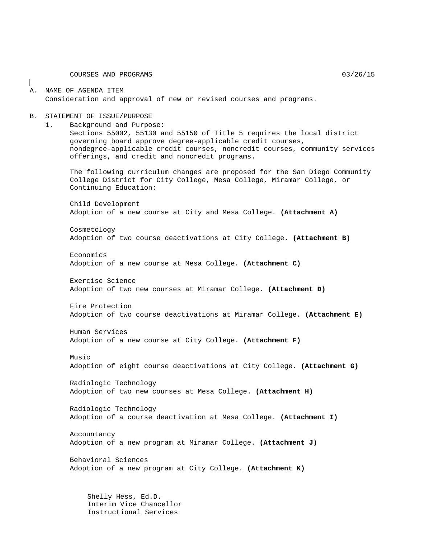COURSES AND PROGRAMS 03/26/15

#### A. NAME OF AGENDA ITEM Consideration and approval of new or revised courses and programs.

#### B. STATEMENT OF ISSUE/PURPOSE

1. Background and Purpose:

Sections 55002, 55130 and 55150 of Title 5 requires the local district governing board approve degree-applicable credit courses, nondegree-applicable credit courses, noncredit courses, community services offerings, and credit and noncredit programs.

The following curriculum changes are proposed for the San Diego Community College District for City College, Mesa College, Miramar College, or Continuing Education:

Child Development Adoption of a new course at City and Mesa College. **(Attachment A)**

Cosmetology Adoption of two course deactivations at City College. **(Attachment B)**

Economics Adoption of a new course at Mesa College. **(Attachment C)**

Exercise Science Adoption of two new courses at Miramar College. **(Attachment D)**

Fire Protection Adoption of two course deactivations at Miramar College. **(Attachment E)**

Human Services Adoption of a new course at City College. **(Attachment F)**

Music

Adoption of eight course deactivations at City College. **(Attachment G)**

Radiologic Technology Adoption of two new courses at Mesa College. **(Attachment H)**

Radiologic Technology Adoption of a course deactivation at Mesa College. **(Attachment I)**

Accountancy Adoption of a new program at Miramar College. **(Attachment J)**

Behavioral Sciences Adoption of a new program at City College. **(Attachment K)**

Shelly Hess, Ed.D. Interim Vice Chancellor Instructional Services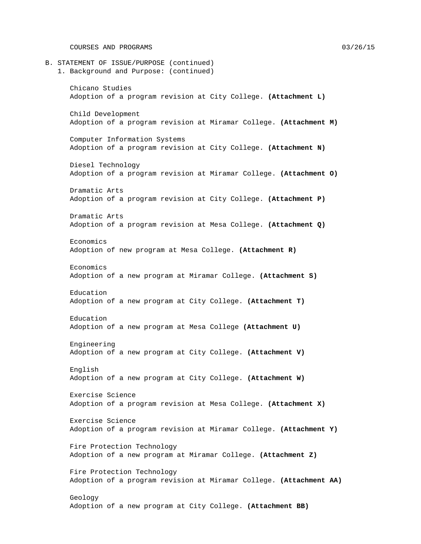COURSES AND PROGRAMS 03/26/15

B. STATEMENT OF ISSUE/PURPOSE (continued) 1. Background and Purpose: (continued) Chicano Studies Adoption of a program revision at City College. **(Attachment L)** Child Development Adoption of a program revision at Miramar College. **(Attachment M)** Computer Information Systems Adoption of a program revision at City College. **(Attachment N)** Diesel Technology Adoption of a program revision at Miramar College. **(Attachment O)** Dramatic Arts Adoption of a program revision at City College. **(Attachment P)** Dramatic Arts Adoption of a program revision at Mesa College. **(Attachment Q)** Economics Adoption of new program at Mesa College. **(Attachment R)** Economics Adoption of a new program at Miramar College. **(Attachment S)** Education Adoption of a new program at City College. **(Attachment T)** Education Adoption of a new program at Mesa College **(Attachment U)** Engineering Adoption of a new program at City College. **(Attachment V)** English Adoption of a new program at City College. **(Attachment W)** Exercise Science Adoption of a program revision at Mesa College. **(Attachment X)** Exercise Science Adoption of a program revision at Miramar College. **(Attachment Y)** Fire Protection Technology Adoption of a new program at Miramar College. **(Attachment Z)** Fire Protection Technology Adoption of a program revision at Miramar College. **(Attachment AA)** Geology Adoption of a new program at City College. **(Attachment BB)**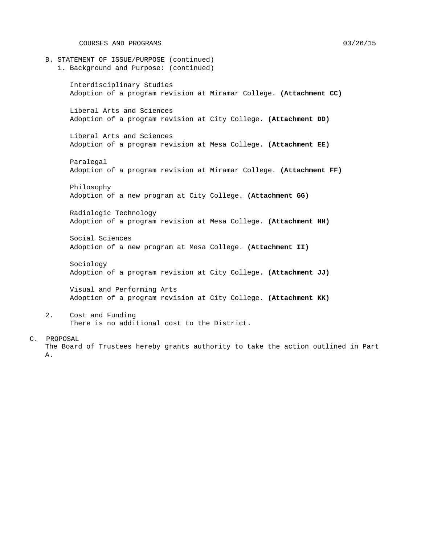COURSES AND PROGRAMS 03/26/15

- B. STATEMENT OF ISSUE/PURPOSE (continued)
	- 1. Background and Purpose: (continued)

Interdisciplinary Studies Adoption of a program revision at Miramar College. **(Attachment CC)**

Liberal Arts and Sciences Adoption of a program revision at City College. **(Attachment DD)**

Liberal Arts and Sciences Adoption of a program revision at Mesa College. **(Attachment EE)**

Paralegal Adoption of a program revision at Miramar College. **(Attachment FF)**

Philosophy Adoption of a new program at City College. **(Attachment GG)**

Radiologic Technology Adoption of a program revision at Mesa College. **(Attachment HH)**

Social Sciences Adoption of a new program at Mesa College. **(Attachment II)**

Sociology Adoption of a program revision at City College. **(Attachment JJ)**

Visual and Performing Arts Adoption of a program revision at City College. **(Attachment KK)**

2. Cost and Funding There is no additional cost to the District.

#### C. PROPOSAL

The Board of Trustees hereby grants authority to take the action outlined in Part A.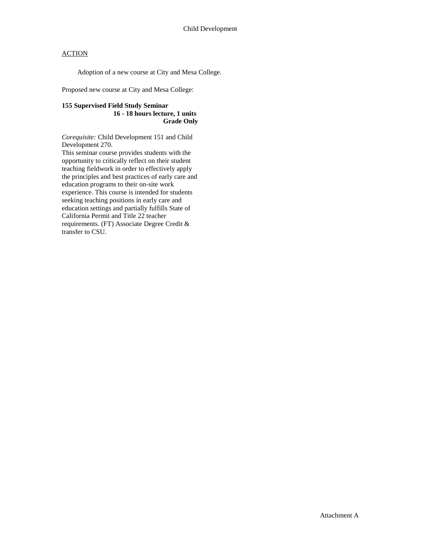Adoption of a new course at City and Mesa College.

Proposed new course at City and Mesa College:

### **155 Supervised Field Study Seminar 16 - 18 hours lecture, 1 units Grade Only**

*Corequisite:* Child Development 151 and Child Development 270.

This seminar course provides students with the opportunity to critically reflect on their student teaching fieldwork in order to effectively apply the principles and best practices of early care and education programs to their on-site work experience. This course is intended for students seeking teaching positions in early care and education settings and partially fulfills State of California Permit and Title 22 teacher requirements. (FT) Associate Degree Credit & transfer to CSU.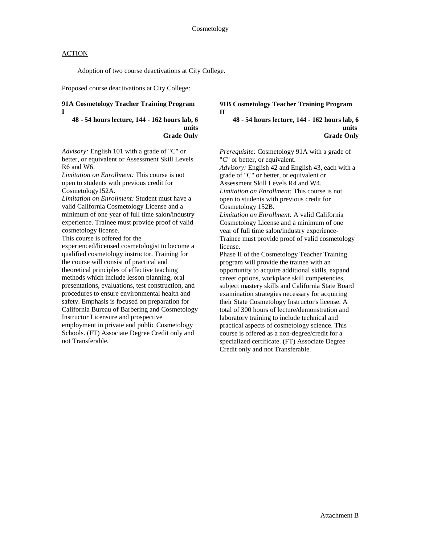Adoption of two course deactivations at City College.

Proposed course deactivations at City College:

### **91A Cosmetology Teacher Training Program I**

#### **48 - 54 hours lecture, 144 - 162 hours lab, 6 units Grade Only**

*Advisory:* English 101 with a grade of "C" or better, or equivalent or Assessment Skill Levels R6 and W6.

*Limitation on Enrollment:* This course is not open to students with previous credit for

Cosmetology152A.

*Limitation on Enrollment:* Student must have a valid California Cosmetology License and a minimum of one year of full time salon/industry experience. Trainee must provide proof of valid cosmetology license.

This course is offered for the

experienced/licensed cosmetologist to become a qualified cosmetology instructor. Training for the course will consist of practical and theoretical principles of effective teaching methods which include lesson planning, oral presentations, evaluations, test construction, and procedures to ensure environmental health and safety. Emphasis is focused on preparation for California Bureau of Barbering and Cosmetology Instructor Licensure and prospective employment in private and public Cosmetology Schools. (FT) Associate Degree Credit only and not Transferable.

### **91B Cosmetology Teacher Training Program II**

#### **48 - 54 hours lecture, 144 - 162 hours lab, 6 units Grade Only**

*Prerequisite:* Cosmetology 91A with a grade of "C" or better, or equivalent.

*Advisory:* English 42 and English 43, each with a grade of "C" or better, or equivalent or Assessment Skill Levels R4 and W4. *Limitation on Enrollment:* This course is not open to students with previous credit for Cosmetology 152B.

*Limitation on Enrollment:* A valid California Cosmetology License and a minimum of one year of full time salon/industry experience-Trainee must provide proof of valid cosmetology license.

Phase II of the Cosmetology Teacher Training program will provide the trainee with an opportunity to acquire additional skills, expand career options, workplace skill competencies, subject mastery skills and California State Board examination strategies necessary for acquiring their State Cosmetology Instructor's license. A total of 300 hours of lecture/demonstration and laboratory training to include technical and practical aspects of cosmetology science. This course is offered as a non-degree/credit for a specialized certificate. (FT) Associate Degree Credit only and not Transferable.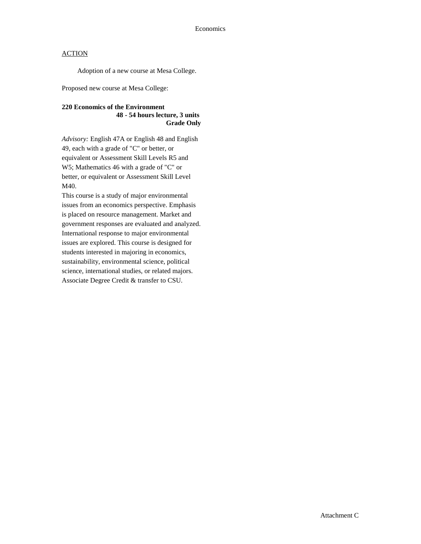Adoption of a new course at Mesa College.

Proposed new course at Mesa College:

### **220 Economics of the Environment 48 - 54 hours lecture, 3 units Grade Only**

*Advisory:* English 47A or English 48 and English 49, each with a grade of "C" or better, or equivalent or Assessment Skill Levels R5 and W5; Mathematics 46 with a grade of "C" or better, or equivalent or Assessment Skill Level M40.

This course is a study of major environmental issues from an economics perspective. Emphasis is placed on resource management. Market and government responses are evaluated and analyzed. International response to major environmental issues are explored. This course is designed for students interested in majoring in economics, sustainability, environmental science, political science, international studies, or related majors. Associate Degree Credit & transfer to CSU.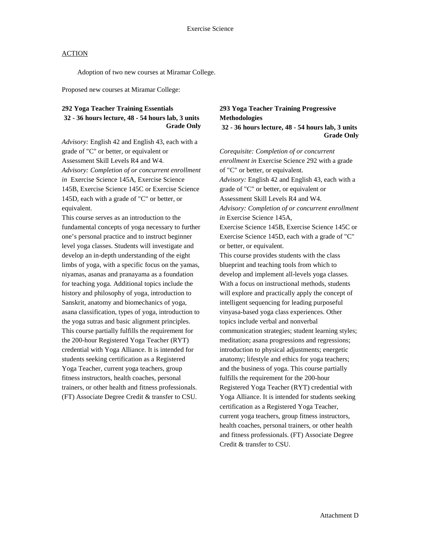Adoption of two new courses at Miramar College.

Proposed new courses at Miramar College:

### **292 Yoga Teacher Training Essentials 32 - 36 hours lecture, 48 - 54 hours lab, 3 units Grade Only**

*Advisory:* English 42 and English 43, each with a grade of "C" or better, or equivalent or Assessment Skill Levels R4 and W4. *Advisory: Completion of or concurrent enrollment in* Exercise Science 145A, Exercise Science 145B, Exercise Science 145C or Exercise Science 145D, each with a grade of "C" or better, or equivalent.

This course serves as an introduction to the fundamental concepts of yoga necessary to further one's personal practice and to instruct beginner level yoga classes. Students will investigate and develop an in-depth understanding of the eight limbs of yoga, with a specific focus on the yamas, niyamas, asanas and pranayama as a foundation for teaching yoga. Additional topics include the history and philosophy of yoga, introduction to Sanskrit, anatomy and biomechanics of yoga, asana classification, types of yoga, introduction to the yoga sutras and basic alignment principles. This course partially fulfills the requirement for the 200-hour Registered Yoga Teacher (RYT) credential with Yoga Alliance. It is intended for students seeking certification as a Registered Yoga Teacher, current yoga teachers, group fitness instructors, health coaches, personal trainers, or other health and fitness professionals. (FT) Associate Degree Credit & transfer to CSU.

## **293 Yoga Teacher Training Progressive Methodologies**

**32 - 36 hours lecture, 48 - 54 hours lab, 3 units Grade Only**

*Corequisite: Completion of or concurrent enrollment in* Exercise Science 292 with a grade of "C" or better, or equivalent. *Advisory:* English 42 and English 43, each with a grade of "C" or better, or equivalent or Assessment Skill Levels R4 and W4. *Advisory: Completion of or concurrent enrollment in* Exercise Science 145A, Exercise Science 145B, Exercise Science 145C or Exercise Science 145D, each with a grade of "C" or better, or equivalent. This course provides students with the class blueprint and teaching tools from which to develop and implement all-levels yoga classes. With a focus on instructional methods, students will explore and practically apply the concept of intelligent sequencing for leading purposeful vinyasa-based yoga class experiences. Other topics include verbal and nonverbal communication strategies; student learning styles; meditation; asana progressions and regressions; introduction to physical adjustments; energetic anatomy; lifestyle and ethics for yoga teachers; and the business of yoga. This course partially fulfills the requirement for the 200-hour Registered Yoga Teacher (RYT) credential with Yoga Alliance. It is intended for students seeking certification as a Registered Yoga Teacher, current yoga teachers, group fitness instructors, health coaches, personal trainers, or other health and fitness professionals. (FT) Associate Degree Credit & transfer to CSU.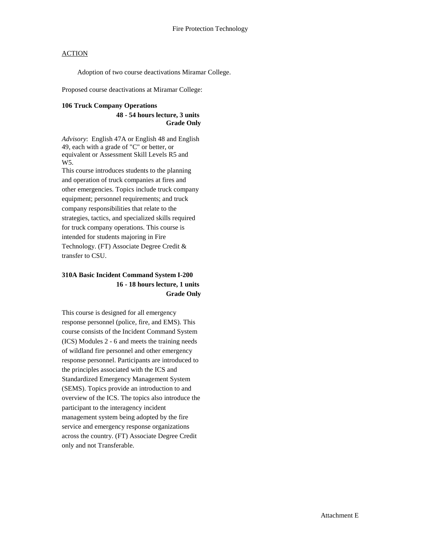Adoption of two course deactivations Miramar College.

Proposed course deactivations at Miramar College:

### **106 Truck Company Operations**

#### **48 - 54 hours lecture, 3 units Grade Only**

*Advisory*: English 47A or English 48 and English 49, each with a grade of "C" or better, or equivalent or Assessment Skill Levels R5 and W5.

This course introduces students to the planning and operation of truck companies at fires and other emergencies. Topics include truck company equipment; personnel requirements; and truck company responsibilities that relate to the strategies, tactics, and specialized skills required for truck company operations. This course is intended for students majoring in Fire Technology. (FT) Associate Degree Credit & transfer to CSU.

### **310A Basic Incident Command System I-200 16 - 18 hours lecture, 1 units Grade Only**

This course is designed for all emergency response personnel (police, fire, and EMS). This course consists of the Incident Command System (ICS) Modules 2 - 6 and meets the training needs of wildland fire personnel and other emergency response personnel. Participants are introduced to the principles associated with the ICS and Standardized Emergency Management System (SEMS). Topics provide an introduction to and overview of the ICS. The topics also introduce the participant to the interagency incident management system being adopted by the fire service and emergency response organizations across the country. (FT) Associate Degree Credit only and not Transferable.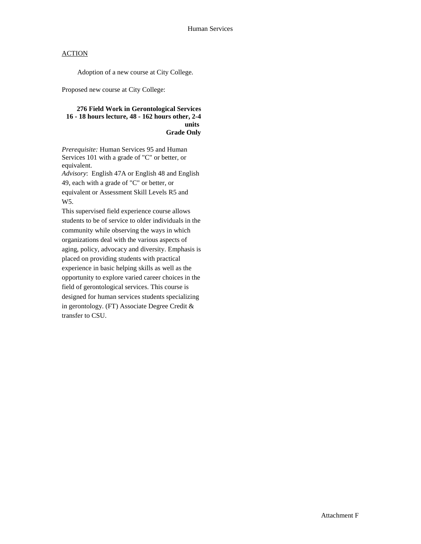Adoption of a new course at City College.

Proposed new course at City College:

#### **276 Field Work in Gerontological Services 16 - 18 hours lecture, 48 - 162 hours other, 2-4 units Grade Only**

*Prerequisite:* Human Services 95 and Human Services 101 with a grade of "C" or better, or equivalent.

*Advisory*: English 47A or English 48 and English 49, each with a grade of "C" or better, or equivalent or Assessment Skill Levels R5 and W5.

This supervised field experience course allows students to be of service to older individuals in the community while observing the ways in which organizations deal with the various aspects of aging, policy, advocacy and diversity. Emphasis is placed on providing students with practical experience in basic helping skills as well as the opportunity to explore varied career choices in the field of gerontological services. This course is designed for human services students specializing in gerontology. (FT) Associate Degree Credit & transfer to CSU.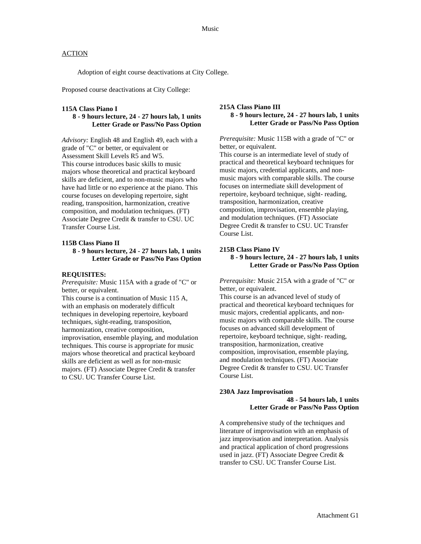Adoption of eight course deactivations at City College.

Proposed course deactivations at City College:

#### **115A Class Piano I**

### **8 - 9 hours lecture, 24 - 27 hours lab, 1 units Letter Grade or Pass/No Pass Option**

*Advisory:* English 48 and English 49, each with a grade of "C" or better, or equivalent or Assessment Skill Levels R5 and W5. This course introduces basic skills to music majors whose theoretical and practical keyboard skills are deficient, and to non-music majors who have had little or no experience at the piano. This course focuses on developing repertoire, sight reading, transposition, harmonization, creative composition, and modulation techniques. (FT) Associate Degree Credit & transfer to CSU. UC Transfer Course List.

#### **115B Class Piano II**

#### **8 - 9 hours lecture, 24 - 27 hours lab, 1 units Letter Grade or Pass/No Pass Option**

#### **REQUISITES:**

*Prerequisite:* Music 115A with a grade of "C" or better, or equivalent.

This course is a continuation of Music 115 A, with an emphasis on moderately difficult techniques in developing repertoire, keyboard techniques, sight-reading, transposition, harmonization, creative composition, improvisation, ensemble playing, and modulation techniques. This course is appropriate for music majors whose theoretical and practical keyboard skills are deficient as well as for non-music majors. (FT) Associate Degree Credit & transfer to CSU. UC Transfer Course List.

#### **215A Class Piano III 8 - 9 hours lecture, 24 - 27 hours lab, 1 units Letter Grade or Pass/No Pass Option**

*Prerequisite:* Music 115B with a grade of "C" or better, or equivalent.

This course is an intermediate level of study of practical and theoretical keyboard techniques for music majors, credential applicants, and nonmusic majors with comparable skills. The course focuses on intermediate skill development of repertoire, keyboard technique, sight- reading, transposition, harmonization, creative composition, improvisation, ensemble playing, and modulation techniques. (FT) Associate Degree Credit & transfer to CSU. UC Transfer Course List.

#### **215B Class Piano IV 8 - 9 hours lecture, 24 - 27 hours lab, 1 units Letter Grade or Pass/No Pass Option**

*Prerequisite:* Music 215A with a grade of "C" or better, or equivalent.

This course is an advanced level of study of practical and theoretical keyboard techniques for music majors, credential applicants, and nonmusic majors with comparable skills. The course focuses on advanced skill development of repertoire, keyboard technique, sight- reading, transposition, harmonization, creative composition, improvisation, ensemble playing, and modulation techniques. (FT) Associate Degree Credit & transfer to CSU. UC Transfer Course List.

#### **230A Jazz Improvisation**

**48 - 54 hours lab, 1 units Letter Grade or Pass/No Pass Option**

A comprehensive study of the techniques and literature of improvisation with an emphasis of jazz improvisation and interpretation. Analysis and practical application of chord progressions used in jazz. (FT) Associate Degree Credit & transfer to CSU. UC Transfer Course List.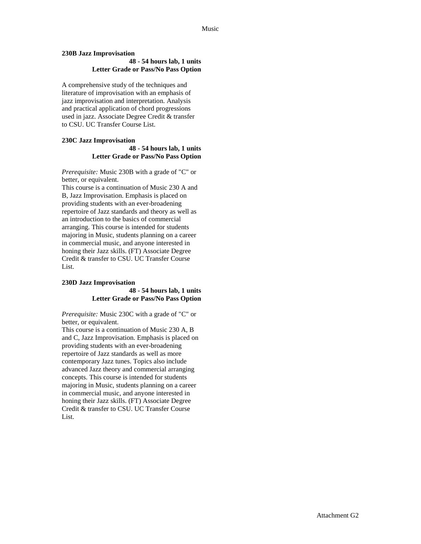#### **230B Jazz Improvisation**

#### **48 - 54 hours lab, 1 units Letter Grade or Pass/No Pass Option**

A comprehensive study of the techniques and literature of improvisation with an emphasis of jazz improvisation and interpretation. Analysis and practical application of chord progressions used in jazz. Associate Degree Credit & transfer to CSU. UC Transfer Course List.

#### **230C Jazz Improvisation 48 - 54 hours lab, 1 units Letter Grade or Pass/No Pass Option**

*Prerequisite:* Music 230B with a grade of "C" or better, or equivalent.

This course is a continuation of Music 230 A and B, Jazz Improvisation. Emphasis is placed on providing students with an ever-broadening repertoire of Jazz standards and theory as well as an introduction to the basics of commercial arranging. This course is intended for students majoring in Music, students planning on a career in commercial music, and anyone interested in honing their Jazz skills. (FT) Associate Degree Credit & transfer to CSU. UC Transfer Course List.

### **230D Jazz Improvisation**

#### **48 - 54 hours lab, 1 units Letter Grade or Pass/No Pass Option**

*Prerequisite:* Music 230C with a grade of "C" or better, or equivalent.

This course is a continuation of Music 230 A, B and C, Jazz Improvisation. Emphasis is placed on providing students with an ever-broadening repertoire of Jazz standards as well as more contemporary Jazz tunes. Topics also include advanced Jazz theory and commercial arranging concepts. This course is intended for students majoring in Music, students planning on a career in commercial music, and anyone interested in honing their Jazz skills. (FT) Associate Degree Credit & transfer to CSU. UC Transfer Course List.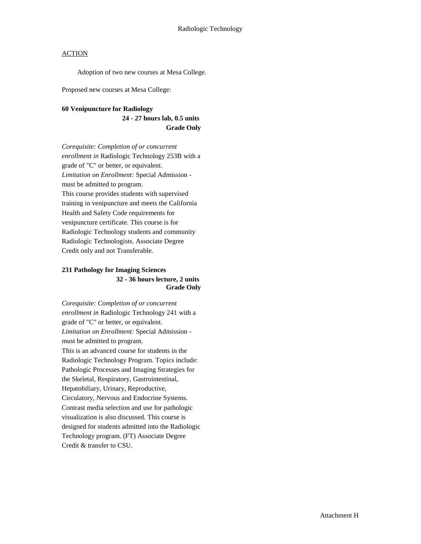Adoption of two new courses at Mesa College.

Proposed new courses at Mesa College:

#### **60 Venipuncture for Radiology**

**24 - 27 hours lab, 0.5 units Grade Only**

*Corequisite: Completion of or concurrent enrollment in* Radiologic Technology 253B with a grade of "C" or better, or equivalent. *Limitation on Enrollment:* Special Admission must be admitted to program. This course provides students with supervised training in venipuncture and meets the California Health and Safety Code requirements for venipuncture certificate. This course is for Radiologic Technology students and community Radiologic Technologists. Associate Degree Credit only and not Transferable.

### **231 Pathology for Imaging Sciences 32 - 36 hours lecture, 2 units Grade Only**

*Corequisite: Completion of or concurrent enrollment in* Radiologic Technology 241 with a grade of "C" or better, or equivalent. *Limitation on Enrollment:* Special Admission must be admitted to program. This is an advanced course for students in the Radiologic Technology Program. Topics include: Pathologic Processes and Imaging Strategies for the Skeletal, Respiratory, Gastrointestinal, Hepatobiliary, Urinary, Reproductive, Circulatory, Nervous and Endocrine Systems. Contrast media selection and use for pathologic visualization is also discussed. This course is designed for students admitted into the Radiologic Technology program. (FT) Associate Degree Credit & transfer to CSU.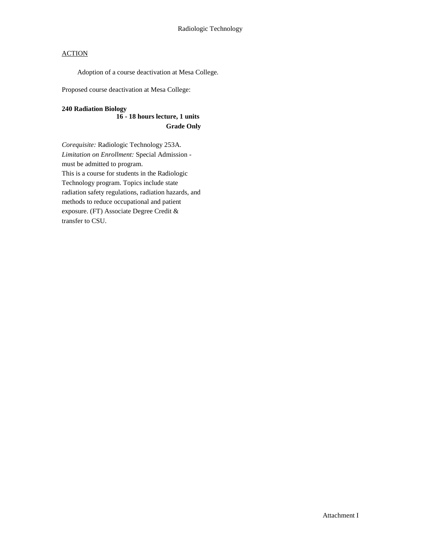Adoption of a course deactivation at Mesa College.

Proposed course deactivation at Mesa College:

### **240 Radiation Biology**

### **16 - 18 hours lecture, 1 units Grade Only**

*Corequisite:* Radiologic Technology 253A. *Limitation on Enrollment:* Special Admission must be admitted to program. This is a course for students in the Radiologic Technology program. Topics include state radiation safety regulations, radiation hazards, and methods to reduce occupational and patient exposure. (FT) Associate Degree Credit & transfer to CSU.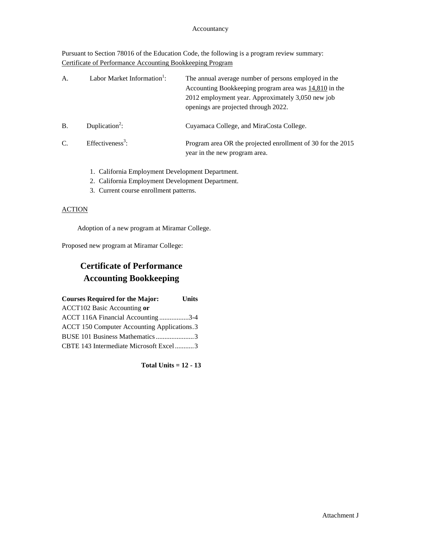#### Accountancy

Pursuant to Section 78016 of the Education Code, the following is a program review summary: Certificate of Performance Accounting Bookkeeping Program

| A.        | Labor Market Information <sup>1</sup> : | The annual average number of persons employed in the<br>Accounting Bookkeeping program area was $14,810$ in the<br>2012 employment year. Approximately 3,050 new job<br>openings are projected through 2022. |
|-----------|-----------------------------------------|--------------------------------------------------------------------------------------------------------------------------------------------------------------------------------------------------------------|
| <b>B.</b> | Duplication <sup>2</sup> :              | Cuyamaca College, and MiraCosta College.                                                                                                                                                                     |
| C.        | Effectiveness <sup>3</sup> :            | Program area OR the projected enrollment of 30 for the 2015<br>year in the new program area.                                                                                                                 |

- 1. California Employment Development Department.
- 2. California Employment Development Department.
- 3. Current course enrollment patterns.

### **ACTION**

Adoption of a new program at Miramar College.

Proposed new program at Miramar College:

## **Certificate of Performance Accounting Bookkeeping**

| <b>Courses Required for the Major:</b>             | <b>Units</b> |
|----------------------------------------------------|--------------|
| <b>ACCT102 Basic Accounting or</b>                 |              |
| ACCT 116A Financial Accounting3-4                  |              |
| <b>ACCT 150 Computer Accounting Applications.3</b> |              |
| BUSE 101 Business Mathematics 3                    |              |
| CBTE 143 Intermediate Microsoft Excel3             |              |

**Total Units = 12 - 13**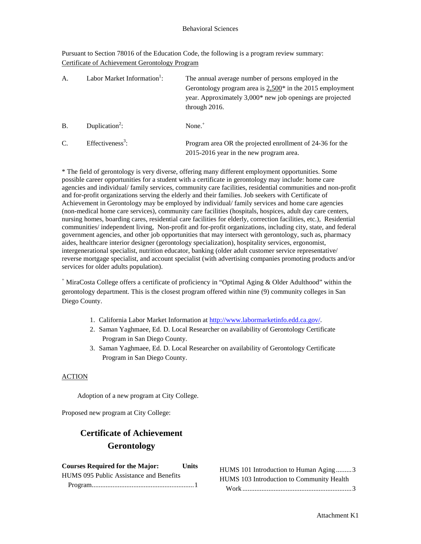Pursuant to Section 78016 of the Education Code, the following is a program review summary: Certificate of Achievement Gerontology Program

| A.        | Labor Market Information <sup>1</sup> : | The annual average number of persons employed in the<br>Gerontology program area is $2,500^*$ in the 2015 employment<br>year. Approximately 3,000* new job openings are projected<br>through 2016. |
|-----------|-----------------------------------------|----------------------------------------------------------------------------------------------------------------------------------------------------------------------------------------------------|
| <b>B.</b> | Duplication <sup>2</sup> :              | None. $+$                                                                                                                                                                                          |
| C.        | Effectiveness <sup>3</sup> :            | Program area OR the projected enrollment of 24-36 for the<br>2015-2016 year in the new program area.                                                                                               |

\* The field of gerontology is very diverse, offering many different employment opportunities. Some possible career opportunities for a student with a certificate in gerontology may include: home care agencies and individual/ family services, community care facilities, residential communities and non-profit and for-profit organizations serving the elderly and their families. Job seekers with Certificate of Achievement in Gerontology may be employed by individual/ family services and home care agencies (non-medical home care services), community care facilities (hospitals, hospices, adult day care centers, nursing homes, boarding cares, residential care facilities for elderly, correction facilities, etc.), Residential communities/ independent living, Non-profit and for-profit organizations, including city, state, and federal government agencies, and other job opportunities that may intersect with gerontology, such as, pharmacy aides, healthcare interior designer (gerontology specialization), hospitality services, ergonomist, intergenerational specialist, nutrition educator, banking (older adult customer service representative/ reverse mortgage specialist, and account specialist (with advertising companies promoting products and/or services for older adults population).

<sup>+</sup> MiraCosta College offers a certificate of proficiency in "Optimal Aging & Older Adulthood" within the gerontology department. This is the closest program offered within nine (9) community colleges in San Diego County.

- 1. California Labor Market Information at [http://www.labormarketinfo.edd.ca.gov/.](http://www.labormarketinfo.edd.ca.gov/)
- 2. Saman Yaghmaee, Ed. D. Local Researcher on availability of Gerontology Certificate Program in San Diego County.
- 3. Saman Yaghmaee, Ed. D. Local Researcher on availability of Gerontology Certificate Program in San Diego County.

#### ACTION

Adoption of a new program at City College.

Proposed new program at City College:

## **Certificate of Achievement Gerontology**

| <b>Courses Required for the Major:</b>  | <b>Units</b> |
|-----------------------------------------|--------------|
| HUMS 095 Public Assistance and Benefits |              |
|                                         |              |

| HUMS 101 Introduction to Human Aging3     |  |
|-------------------------------------------|--|
| HUMS 103 Introduction to Community Health |  |
|                                           |  |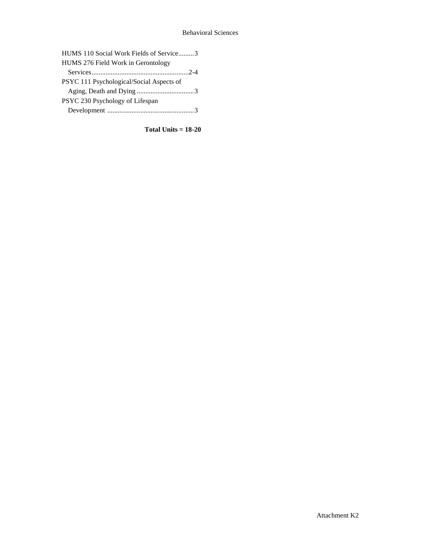#### Behavioral Sciences

| HUMS 110 Social Work Fields of Service3  |
|------------------------------------------|
| HUMS 276 Field Work in Gerontology       |
|                                          |
| PSYC 111 Psychological/Social Aspects of |
|                                          |
| PSYC 230 Psychology of Lifespan          |
|                                          |

**Total Units = 18-20**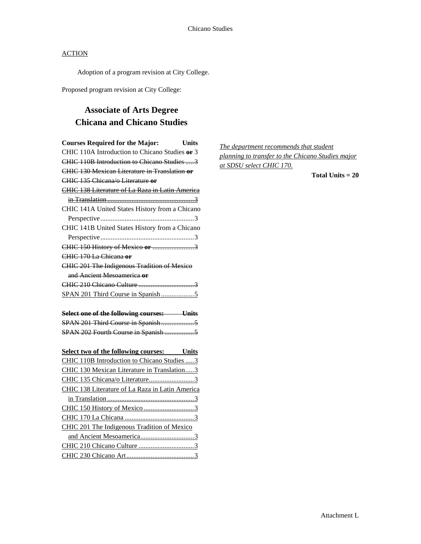Adoption of a program revision at City College.

Proposed program revision at City College:

## **Associate of Arts Degree Chicana and Chicano Studies**

| <b>Courses Required for the Major:</b><br>Units        |
|--------------------------------------------------------|
| CHIC 110A Introduction to Chicano Studies or 3         |
| CHIC 110B Introduction to Chicano Studies 3            |
| CHIC 130 Mexican Literature in Translation or          |
| CHIC 135 Chicana/o Literature or                       |
| <b>CHIC 138 Literature of La Raza in Latin America</b> |
|                                                        |
| CHIC 141A United States History from a Chicano         |
|                                                        |
| CHIC 141B United States History from a Chicano         |
|                                                        |
| CHIC 150 History of Mexico or 3                        |
| CHIC 170 La Chicana or                                 |
| CHIC 201 The Indigenous Tradition of Mexico            |
| and Ancient Mesoamerica or                             |
|                                                        |
|                                                        |
| Select one of the following courses: Units             |
|                                                        |
| SPAN 202 Fourth Course in Spanish 5                    |
|                                                        |
| <b>Select two of the following courses:</b> Units      |
| CHIC 110B Introduction to Chicano Studies  3           |
| CHIC 130 Mexican Literature in Translation3            |
| CHIC 135 Chicana/o Literature3                         |
| CHIC 138 Literature of La Raza in Latin America        |
|                                                        |
|                                                        |
|                                                        |
| CHIC 201 The Indigenous Tradition of Mexico            |
|                                                        |
|                                                        |
|                                                        |

*The department recommends that student planning to transfer to the Chicano Studies major at SDSU select CHIC 170.*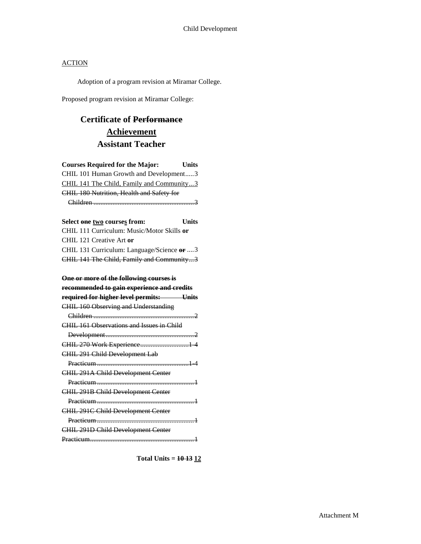Adoption of a program revision at Miramar College.

Proposed program revision at Miramar College:

## **Certificate of Performance Achievement Assistant Teacher**

| <b>Courses Required for the Major:</b>      | <b>Units</b> |
|---------------------------------------------|--------------|
| CHIL 101 Human Growth and Development3      |              |
| CHIL 141 The Child, Family and Community3   |              |
| CHIL 180 Nutrition, Health and Safety for   |              |
|                                             |              |
|                                             |              |
| Select one two courses from:                | <b>Units</b> |
| CHIL 111 Curriculum: Music/Motor Skills or  |              |
| CHIL 121 Creative Art or                    |              |
| CHIL 131 Curriculum: Language/Science or  3 |              |
| CHIL 141 The Child, Family and Community3   |              |
|                                             |              |
| One or more of the following courses is     |              |
| recommended to gain experience and credits  |              |
| required for higher level permits: Units    |              |
| <b>CHIL 160 Observing and Understanding</b> |              |
|                                             |              |
| CHIL 161 Observations and Issues in Child   |              |
|                                             |              |
| CHIL 270 Work Experience 1 4                |              |
| CHIL 291 Child Development Lab              |              |
|                                             |              |
| CHIL 291A Child Development Center          |              |
|                                             |              |
| CHIL 291B Child Development Center          |              |
|                                             |              |
| CHIL 291C Child Development Center          |              |
|                                             |              |
| CHIL 291D Child Development Center          |              |
|                                             |              |

**Total Units = 10 13 12**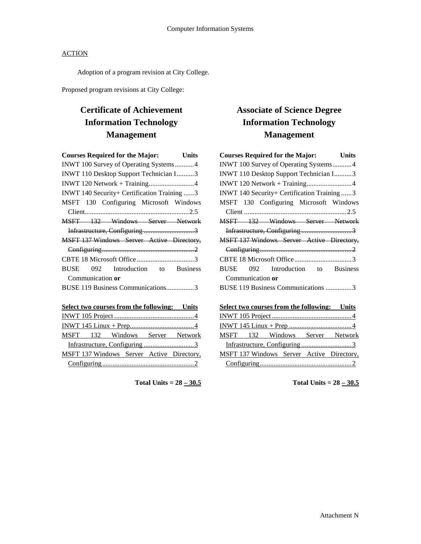Adoption of a program revision at City College.

Proposed program revisions at City College:

## **Certificate of Achievement Information Technology Management**

| <b>Courses Required for the Major:</b><br>Units |  |  |  |  |
|-------------------------------------------------|--|--|--|--|
| INWT 100 Survey of Operating Systems4           |  |  |  |  |
| INWT 110 Desktop Support Technician I3          |  |  |  |  |
|                                                 |  |  |  |  |
| INWT 140 Security+ Certification Training  3    |  |  |  |  |
| MSFT 130 Configuring Microsoft Windows          |  |  |  |  |
|                                                 |  |  |  |  |
| MSFT 132 Windows Server Network                 |  |  |  |  |
| Infrastructure, Configuring 3                   |  |  |  |  |
| MSFT 137 Windows Server Active Directory,       |  |  |  |  |
|                                                 |  |  |  |  |
|                                                 |  |  |  |  |
| <b>BUSE</b><br>092 Introduction to Business     |  |  |  |  |
| Communication or                                |  |  |  |  |
| BUSE 119 Business Communications3               |  |  |  |  |
|                                                 |  |  |  |  |

### **Select two courses from the following: Units** INWT 105 Project ..............................................4 INWT 145 Linux + Prep.....................................4 MSFT 132 Windows Server Network Infrastructure, Configuring ................................3 MSFT 137 Windows Server Active Directory, Configuring.....................................................2

**Total Units = 28 – 30.5**

## **Associate of Science Degree Information Technology Management**

| <b>Courses Required for the Major:</b>       |  | Units |
|----------------------------------------------|--|-------|
| INWT 100 Survey of Operating Systems 4       |  |       |
| INWT 110 Desktop Support Technician I3       |  |       |
|                                              |  |       |
| INWT 140 Security+ Certification Training  3 |  |       |
| MSFT 130 Configuring Microsoft Windows       |  |       |
|                                              |  |       |
| MSFT 132 Windows Server Network              |  |       |
|                                              |  |       |
| MSFT 137 Windows Server Active Directory,    |  |       |
|                                              |  |       |
|                                              |  |       |
| <b>BUSE</b><br>092 Introduction to Business  |  |       |
| Communication or                             |  |       |
| BUSE 119 Business Communications 3           |  |       |

|  |  |  |  |  | Select two courses from the following: Units |
|--|--|--|--|--|----------------------------------------------|
|  |  |  |  |  |                                              |
|  |  |  |  |  |                                              |
|  |  |  |  |  | MSFT 132 Windows Server Network              |
|  |  |  |  |  |                                              |
|  |  |  |  |  | MSFT 137 Windows Server Active Directory,    |
|  |  |  |  |  |                                              |

**Total Units =**  $28 - 30.5$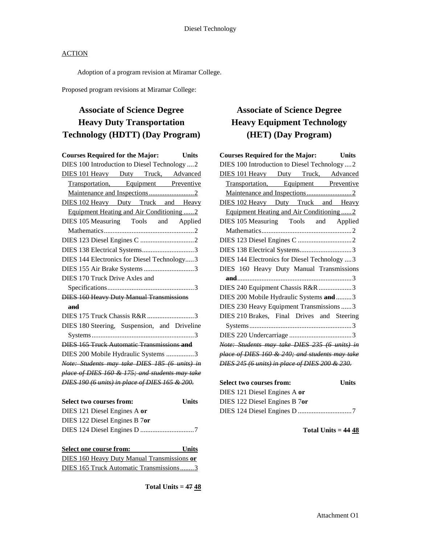Adoption of a program revision at Miramar College.

Proposed program revisions at Miramar College:

## **Associate of Science Degree Heavy Duty Transportation Technology (HDTT) (Day Program)**

| <b>Courses Required for the Major:</b> Units                    |  |  |  |  |
|-----------------------------------------------------------------|--|--|--|--|
| DIES 100 Introduction to Diesel Technology  2                   |  |  |  |  |
| DIES 101 Heavy Duty Truck, Advanced                             |  |  |  |  |
| Transportation, Equipment Preventive                            |  |  |  |  |
|                                                                 |  |  |  |  |
| DIES 102 Heavy Duty Truck and Heavy                             |  |  |  |  |
| Equipment Heating and Air Conditioning2                         |  |  |  |  |
| DIES 105 Measuring Tools and Applied                            |  |  |  |  |
|                                                                 |  |  |  |  |
|                                                                 |  |  |  |  |
|                                                                 |  |  |  |  |
| DIES 144 Electronics for Diesel Technology3                     |  |  |  |  |
| DIES 155 Air Brake Systems 3                                    |  |  |  |  |
| DIES 170 Truck Drive Axles and                                  |  |  |  |  |
|                                                                 |  |  |  |  |
| <b>DIES 160 Heavy Duty Manual Transmissions</b>                 |  |  |  |  |
| and                                                             |  |  |  |  |
| DIES 175 Truck Chassis R&R 3                                    |  |  |  |  |
| DIES 180 Steering, Suspension, and Driveline                    |  |  |  |  |
|                                                                 |  |  |  |  |
| <b>DIES 165 Truck Automatic Transmissions and</b>               |  |  |  |  |
| DIES 200 Mobile Hydraulic Systems 3                             |  |  |  |  |
| Note: Students may take DIES 185 (6 units) in                   |  |  |  |  |
| place of DIES 160 & 175; and students may take                  |  |  |  |  |
| DIES 190 (6 units) in place of DIES 165 & 200.                  |  |  |  |  |
|                                                                 |  |  |  |  |
| <b>Select two courses from:</b><br><b>Units</b>                 |  |  |  |  |
| $\overline{D}$ IEC 101 $\overline{D}$ <sub>rea</sub> 1 Equino A |  |  |  |  |

| DIES 121 Diesel Engines A or  |  |
|-------------------------------|--|
| DIES 122 Diesel Engines B 7or |  |
|                               |  |

| Select one course from:                     | <b>Units</b> |
|---------------------------------------------|--------------|
| DIES 160 Heavy Duty Manual Transmissions or |              |
| DIES 165 Truck Automatic Transmissions3     |              |

**Total Units = 47 48**

## **Associate of Science Degree Heavy Equipment Technology (HET) (Day Program)**

|                                               |  |  |  | <b>Courses Required for the Major:</b>         | <b>Units</b>                                   |
|-----------------------------------------------|--|--|--|------------------------------------------------|------------------------------------------------|
| DIES 100 Introduction to Diesel Technology  2 |  |  |  |                                                |                                                |
|                                               |  |  |  |                                                | <b>DIES 101 Heavy</b> Duty Truck, Advanced     |
|                                               |  |  |  |                                                | Transportation, Equipment Preventive           |
|                                               |  |  |  |                                                |                                                |
|                                               |  |  |  |                                                | <b>DIES 102 Heavy</b> Duty Truck and Heavy     |
|                                               |  |  |  | Equipment Heating and Air Conditioning2        |                                                |
|                                               |  |  |  |                                                | DIES 105 Measuring Tools and Applied           |
|                                               |  |  |  |                                                |                                                |
|                                               |  |  |  |                                                |                                                |
|                                               |  |  |  |                                                |                                                |
|                                               |  |  |  | DIES 144 Electronics for Diesel Technology  3  |                                                |
|                                               |  |  |  |                                                | DIES 160 Heavy Duty Manual Transmissions       |
|                                               |  |  |  |                                                |                                                |
|                                               |  |  |  | DIES 240 Equipment Chassis R&R 3               |                                                |
|                                               |  |  |  | DIES 200 Mobile Hydraulic Systems and3         |                                                |
|                                               |  |  |  | DIES 230 Heavy Equipment Transmissions  3      |                                                |
|                                               |  |  |  |                                                | DIES 210 Brakes, Final Drives and Steering     |
|                                               |  |  |  |                                                |                                                |
|                                               |  |  |  |                                                |                                                |
|                                               |  |  |  |                                                | Note: Students may take DIES 235 (6 units) in  |
|                                               |  |  |  |                                                | place of DIES 160 & 240; and students may take |
|                                               |  |  |  | DIES 245 (6 units) in place of DIES 200 & 230. |                                                |
|                                               |  |  |  |                                                |                                                |

| <b>Select two courses from:</b> | <b>Units</b> |
|---------------------------------|--------------|
| DIES 121 Diesel Engines A or    |              |
| DIES 122 Diesel Engines B 7or   |              |
|                                 |              |

**Total Units = 44 48**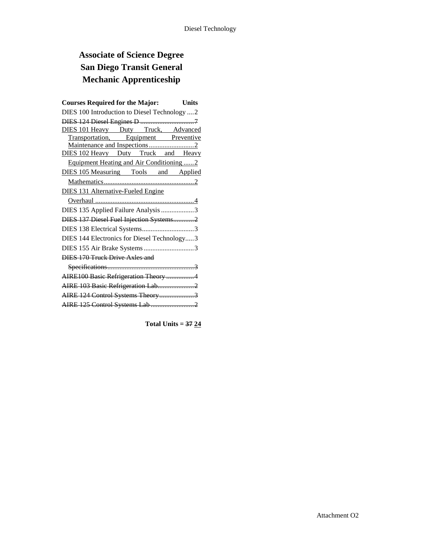## **Associate of Science Degree San Diego Transit General Mechanic Apprenticeship**

| <b>Courses Required for the Major:</b>       |  | <b>Units</b> |
|----------------------------------------------|--|--------------|
| DIES 100 Introduction to Diesel Technology 2 |  |              |
|                                              |  |              |
| DIES 101 Heavy Duty Truck, Advanced          |  |              |
| Transportation, Equipment Preventive         |  |              |
|                                              |  |              |
| DIES 102 Heavy Duty Truck and Heavy          |  |              |
| Equipment Heating and Air Conditioning2      |  |              |
| DIES 105 Measuring Tools and Applied         |  |              |
|                                              |  |              |
| <b>DIES 131 Alternative-Fueled Engine</b>    |  |              |
|                                              |  |              |
| DIES 135 Applied Failure Analysis 3          |  |              |
| DIES 137 Diesel Fuel Injection Systems2      |  |              |
| DIES 138 Electrical Systems3                 |  |              |
| DIES 144 Electronics for Diesel Technology3  |  |              |
|                                              |  |              |
| DIES 170 Truck Drive Axles and               |  |              |
|                                              |  |              |
| AIRE100 Basic Refrigeration Theory 4         |  |              |
| AIRE 103 Basic Refrigeration Lab2            |  |              |
| AIRE 124 Control Systems Theory3             |  |              |
|                                              |  |              |
|                                              |  |              |

**Total Units = 37 24**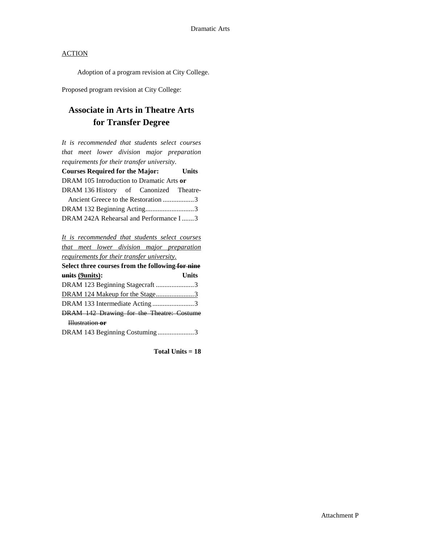Adoption of a program revision at City College.

Proposed program revision at City College:

## **Associate in Arts in Theatre Arts for Transfer Degree**

| It is recommended that students select courses |       |  |  |  |
|------------------------------------------------|-------|--|--|--|
| that meet lower division major preparation     |       |  |  |  |
| requirements for their transfer university.    |       |  |  |  |
| <b>Courses Required for the Major:</b>         | Units |  |  |  |
| DRAM 105 Introduction to Dramatic Arts or      |       |  |  |  |
| DRAM 136 History of Canonized Theatre-         |       |  |  |  |
| Ancient Greece to the Restoration 3            |       |  |  |  |
| DRAM 132 Beginning Acting3                     |       |  |  |  |
| DRAM 242A Rehearsal and Performance I3         |       |  |  |  |
|                                                |       |  |  |  |
| It is recommended that students select courses |       |  |  |  |

*that meet lower division major preparation requirements for their transfer university.* **Select three courses from the following for nine units (9units): Units**

| Units                                     |
|-------------------------------------------|
| DRAM 123 Beginning Stagecraft 3           |
| DRAM 124 Makeup for the Stage3            |
| DRAM 133 Intermediate Acting3             |
| DRAM 142 Drawing for the Theatre: Costume |
|                                           |
| DRAM 143 Beginning Costuming3             |
|                                           |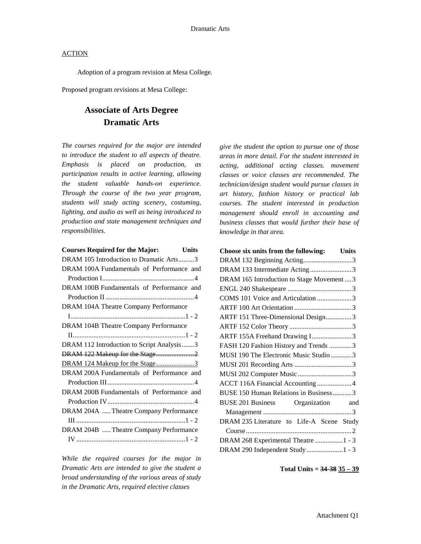Adoption of a program revision at Mesa College.

Proposed program revisions at Mesa College:

## **Associate of Arts Degree Dramatic Arts**

*The courses required for the major are intended to introduce the student to all aspects of theatre. Emphasis is placed on production, as participation results in active learning, allowing the student valuable hands-on experience. Through the course of the two year program, students will study acting scenery, costuming, lighting, and audio as well as being introduced to production and state management techniques and responsibilities.*

*While the required courses for the major in Dramatic Arts are intended to give the student a broad understanding of the various areas of study in the Dramatic Arts, required elective classes* 

*give the student the option to pursue one of those areas in more detail. For the student interested in acting, additional acting classes. movement classes or voice classes are recommended. The technician/design student would pursue classes in art history, fashion history or practical lab courses. The student interested in production management should enroll in accounting and business classes that would further their base of knowledge in that area.*

#### **Total Units = 34-38 35 – 39**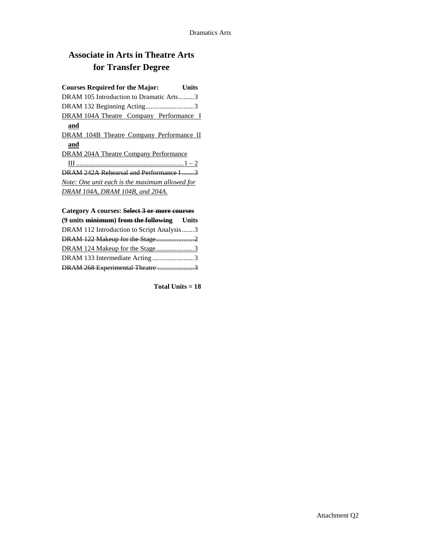## **Associate in Arts in Theatre Arts for Transfer Degree**

## **Courses Required for the Major: Units** DRAM 105 Introduction to Dramatic Arts.........3

DRAM 132 Beginning Acting............................3 DRAM 104A Theatre Company Performance I **and** DRAM 104B Theatre Company Performance II **and** DRAM 204A Theatre Company Performance III ..............................................................1 – 2 DRAM 242A Rehearsal and Performance I .......3 *Note: One unit each is the maximum allowed for* 

# *DRAM 104A, DRAM 104B, and 204A.* **Category A courses: Select 3 or more courses**

| (9 units minimum) from the following Units |  |
|--------------------------------------------|--|
| DRAM 112 Introduction to Script Analysis3  |  |
| DRAM 122 Makeup for the Stage2             |  |
| DRAM 124 Makeup for the Stage3             |  |
| DRAM 133 Intermediate Acting3              |  |
| DRAM 268 Experimental Theatre 3            |  |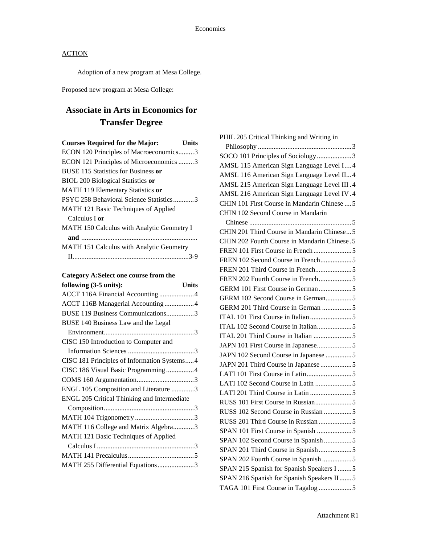Adoption of a new program at Mesa College.

Proposed new program at Mesa College:

## **Associate in Arts in Economics for Transfer Degree**

| <b>Courses Required for the Major:</b>            | Units |
|---------------------------------------------------|-------|
| ECON 120 Principles of Macroeconomics3            |       |
| ECON 121 Principles of Microeconomics 3           |       |
| <b>BUSE 115 Statistics for Business or</b>        |       |
| <b>BIOL 200 Biological Statistics or</b>          |       |
| MATH 119 Elementary Statistics or                 |       |
| PSYC 258 Behavioral Science Statistics3           |       |
| <b>MATH 121 Basic Techniques of Applied</b>       |       |
| Calculus I <b>or</b>                              |       |
| <b>MATH 150 Calculus with Analytic Geometry I</b> |       |
|                                                   |       |
| MATH 151 Calculus with Analytic Geometry          |       |
|                                                   |       |

### **Category A:Select one course from the**

| following (3-5 units):                      | <b>Units</b> |
|---------------------------------------------|--------------|
| ACCT 116A Financial Accounting 4            |              |
| ACCT 116B Managerial Accounting 4           |              |
| BUSE 119 Business Communications3           |              |
| BUSE 140 Business Law and the Legal         |              |
|                                             |              |
| CISC 150 Introduction to Computer and       |              |
|                                             |              |
| CISC 181 Principles of Information Systems4 |              |
| CISC 186 Visual Basic Programming4          |              |
|                                             |              |
| ENGL 105 Composition and Literature 3       |              |
| ENGL 205 Critical Thinking and Intermediate |              |
|                                             |              |
|                                             |              |
| MATH 116 College and Matrix Algebra3        |              |
| MATH 121 Basic Techniques of Applied        |              |
|                                             |              |
|                                             |              |
| MATH 255 Differential Equations3            |              |

| PHIL 205 Critical Thinking and Writing in    |
|----------------------------------------------|
|                                              |
| SOCO 101 Principles of Sociology3            |
| AMSL 115 American Sign Language Level I4     |
| AMSL 116 American Sign Language Level II4    |
| AMSL 215 American Sign Language Level III.4  |
| AMSL 216 American Sign Language Level IV.4   |
| CHIN 101 First Course in Mandarin Chinese  5 |
| CHIN 102 Second Course in Mandarin           |
|                                              |
| CHIN 201 Third Course in Mandarin Chinese5   |
| CHIN 202 Fourth Course in Mandarin Chinese.5 |
|                                              |
| FREN 102 Second Course in French5            |
|                                              |
| FREN 202 Fourth Course in French5            |
| GERM 101 First Course in German 5            |
| GERM 102 Second Course in German5            |
| GERM 201 Third Course in German 5            |
|                                              |
| ITAL 102 Second Course in Italian5           |
|                                              |
| JAPN 101 First Course in Japanese5           |
| JAPN 102 Second Course in Japanese 5         |
| JAPN 201 Third Course in Japanese 5          |
|                                              |
| LATI 102 Second Course in Latin 5            |
|                                              |
|                                              |
| RUSS 102 Second Course in Russian 5          |
| RUSS 201 Third Course in Russian 5           |
| SPAN 101 First Course in Spanish 5           |
| SPAN 102 Second Course in Spanish5           |
| SPAN 201 Third Course in Spanish5            |
| SPAN 202 Fourth Course in Spanish 5          |
| SPAN 215 Spanish for Spanish Speakers I 5    |
| SPAN 216 Spanish for Spanish Speakers II5    |
| TAGA 101 First Course in Tagalog 5           |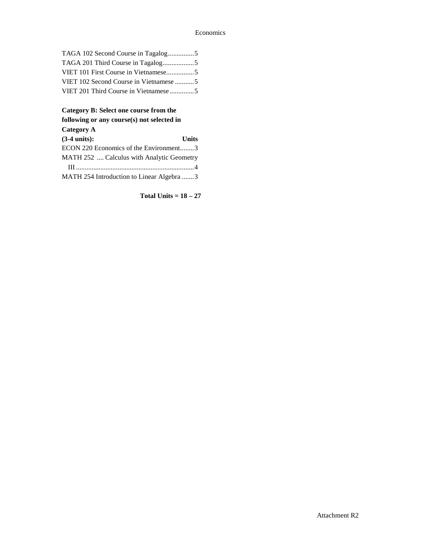### Economics

| TAGA 102 Second Course in Tagalog5     |  |
|----------------------------------------|--|
|                                        |  |
| VIET 101 First Course in Vietnamese5   |  |
| VIET 102 Second Course in Vietnamese 5 |  |
| VIET 201 Third Course in Vietnamese 5  |  |

### **Category B: Select one course from the following or any course(s) not selected in**

| <b>Category</b> |  |
|-----------------|--|
|-----------------|--|

| $(3-4 \text{ units})$ :                   | <b>Units</b> |
|-------------------------------------------|--------------|
| ECON 220 Economics of the Environment3    |              |
| MATH 252  Calculus with Analytic Geometry |              |
|                                           |              |
| MATH 254 Introduction to Linear Algebra 3 |              |

**Total Units = 18 – 27**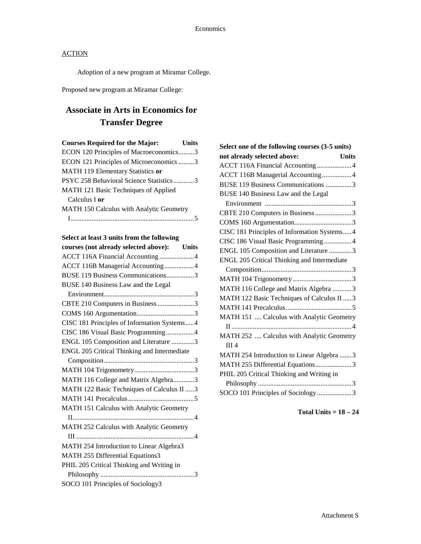Adoption of a new program at Miramar College.

Proposed new program at Miramar College:

## **Associate in Arts in Economics for Transfer Degree**

| <b>Courses Required for the Major:</b>   | Units |
|------------------------------------------|-------|
| ECON 120 Principles of Macroeconomics3   |       |
| ECON 121 Principles of Microeconomics 3  |       |
| MATH 119 Elementary Statistics or        |       |
| PSYC 258 Behavioral Science Statistics3  |       |
| MATH 121 Basic Techniques of Applied     |       |
| Calculus I or                            |       |
| MATH 150 Calculus with Analytic Geometry |       |
|                                          |       |

| courses (not already selected above): Units |
|---------------------------------------------|
| ACCT 116A Financial Accounting 4            |
| ACCT 116B Managerial Accounting4            |
| BUSE 119 Business Communications3           |
| BUSE 140 Business Law and the Legal         |
|                                             |
| CBTE 210 Computers in Business 3            |
|                                             |
| CISC 181 Principles of Information Systems4 |
| CISC 186 Visual Basic Programming4          |
| ENGL 105 Composition and Literature 3       |
| ENGL 205 Critical Thinking and Intermediate |
|                                             |
|                                             |
| MATH 116 College and Matrix Algebra3        |
| MATH 122 Basic Techniques of Calculus II  3 |
|                                             |
| MATH 151 Calculus with Analytic Geometry    |
|                                             |
| MATH 252 Calculus with Analytic Geometry    |
|                                             |
| MATH 254 Introduction to Linear Algebra3    |
| MATH 255 Differential Equations3            |
| PHIL 205 Critical Thinking and Writing in   |
|                                             |
| SOCO 101 Principles of Sociology3           |
|                                             |

| Select one of the following courses (3-5 units) |  |  |  |  |
|-------------------------------------------------|--|--|--|--|
| not already selected above:<br><b>Units</b>     |  |  |  |  |
| ACCT 116A Financial Accounting4                 |  |  |  |  |
| ACCT 116B Managerial Accounting4                |  |  |  |  |
| BUSE 119 Business Communications 3              |  |  |  |  |
| BUSE 140 Business Law and the Legal             |  |  |  |  |
|                                                 |  |  |  |  |
| CBTE 210 Computers in Business 3                |  |  |  |  |
|                                                 |  |  |  |  |
| CISC 181 Principles of Information Systems 4    |  |  |  |  |
| CISC 186 Visual Basic Programming4              |  |  |  |  |
| ENGL 105 Composition and Literature 3           |  |  |  |  |
| ENGL 205 Critical Thinking and Intermediate     |  |  |  |  |
|                                                 |  |  |  |  |
|                                                 |  |  |  |  |
| MATH 116 College and Matrix Algebra 3           |  |  |  |  |
| MATH 122 Basic Techniques of Calculus II  3     |  |  |  |  |
|                                                 |  |  |  |  |
| MATH 151  Calculus with Analytic Geometry       |  |  |  |  |
|                                                 |  |  |  |  |
| MATH 252  Calculus with Analytic Geometry       |  |  |  |  |
| III <sub>4</sub>                                |  |  |  |  |
| MATH 254 Introduction to Linear Algebra  3      |  |  |  |  |
| MATH 255 Differential Equations3                |  |  |  |  |
| PHIL 205 Critical Thinking and Writing in       |  |  |  |  |
|                                                 |  |  |  |  |
| SOCO 101 Principles of Sociology3               |  |  |  |  |

**Total Units = 18 – 24**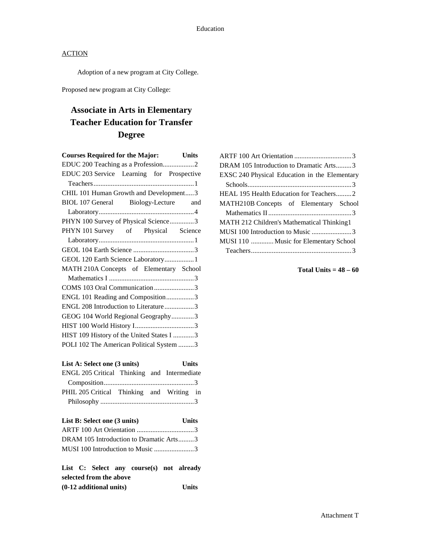Adoption of a new program at City College.

Proposed new program at City College:

## **Associate in Arts in Elementary Teacher Education for Transfer Degree**

| <b>Courses Required for the Major:</b><br><b>Units</b> |  |
|--------------------------------------------------------|--|
| EDUC 200 Teaching as a Profession2                     |  |
| EDUC 203 Service Learning for Prospective              |  |
|                                                        |  |
| CHIL 101 Human Growth and Development3                 |  |
| BIOL 107 General Biology-Lecture and                   |  |
|                                                        |  |
| PHYN 100 Survey of Physical Science3                   |  |
| PHYN 101 Survey of Physical Science                    |  |
|                                                        |  |
|                                                        |  |
| GEOL 120 Earth Science Laboratory 1                    |  |
| MATH 210A Concepts of Elementary School                |  |
|                                                        |  |
| COMS 103 Oral Communication3                           |  |
| ENGL 101 Reading and Composition3                      |  |
| ENGL 208 Introduction to Literature3                   |  |
| GEOG 104 World Regional Geography3                     |  |
|                                                        |  |
| HIST 109 History of the United States I 3              |  |
| POLI 102 The American Political System 3               |  |
|                                                        |  |

| List A: Select one (3 units)                | <b>Units</b> |  |  |
|---------------------------------------------|--------------|--|--|
| ENGL 205 Critical Thinking and Intermediate |              |  |  |
|                                             |              |  |  |
| PHIL 205 Critical Thinking and Writing in   |              |  |  |
|                                             |              |  |  |

| List B: Select one (3 units)            | <b>Units</b> |
|-----------------------------------------|--------------|
|                                         |              |
| DRAM 105 Introduction to Dramatic Arts3 |              |
| MUSI 100 Introduction to Music 3        |              |

|  |                         | List C: Select any course(s) not already |       |
|--|-------------------------|------------------------------------------|-------|
|  | selected from the above |                                          |       |
|  | (0-12 additional units) |                                          | Units |

| DRAM 105 Introduction to Dramatic Arts3       |  |
|-----------------------------------------------|--|
| EXSC 240 Physical Education in the Elementary |  |
|                                               |  |
| HEAL 195 Health Education for Teachers2       |  |
| MATH210B Concepts of Elementary School        |  |
|                                               |  |
| MATH 212 Children's Mathematical Thinking1    |  |
| MUSI 100 Introduction to Music 3              |  |
| MUSI 110  Music for Elementary School         |  |
|                                               |  |

**Total Units = 48 – 60**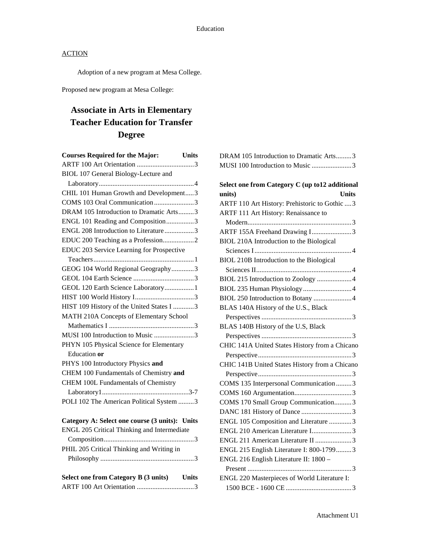Adoption of a new program at Mesa College.

Proposed new program at Mesa College:

## **Associate in Arts in Elementary Teacher Education for Transfer Degree**

| <b>Units</b><br><b>Courses Required for the Major:</b> |
|--------------------------------------------------------|
|                                                        |
| BIOL 107 General Biology-Lecture and                   |
|                                                        |
| CHIL 101 Human Growth and Development3                 |
| COMS 103 Oral Communication3                           |
| DRAM 105 Introduction to Dramatic Arts3                |
| ENGL 101 Reading and Composition3                      |
| ENGL 208 Introduction to Literature3                   |
| EDUC 200 Teaching as a Profession2                     |
| EDUC 203 Service Learning for Prospective              |
|                                                        |
| GEOG 104 World Regional Geography3                     |
|                                                        |
| GEOL 120 Earth Science Laboratory 1                    |
|                                                        |
| HIST 109 History of the United States I 3              |
| MATH 210A Concepts of Elementary School                |
|                                                        |
| MUSI 100 Introduction to Music 3                       |
| PHYN 105 Physical Science for Elementary               |
| Education or                                           |
| PHYS 100 Introductory Physics and                      |
| CHEM 100 Fundamentals of Chemistry and                 |
| CHEM 100L Fundamentals of Chemistry                    |
|                                                        |
| POLI 102 The American Political System 3               |
| Category A: Select one course (3 units): Units         |
| ENGL 205 Critical Thinking and Intermediate            |
|                                                        |
| PHIL 205 Critical Thinking and Writing in              |
|                                                        |
|                                                        |
| Select one from Category B (3 units) Units             |
|                                                        |

| DRAM 105 Introduction to Dramatic Arts3 |  |
|-----------------------------------------|--|
| MUSI 100 Introduction to Music 3        |  |

| Select one from Category C (up to12 additional |
|------------------------------------------------|
| <b>Units</b><br>units)                         |
| ARTF 110 Art History: Prehistoric to Gothic  3 |
| ARTF 111 Art History: Renaissance to           |
|                                                |
| ARTF 155A Freehand Drawing I3                  |
| BIOL 210A Introduction to the Biological       |
|                                                |
| BIOL 210B Introduction to the Biological       |
|                                                |
| BIOL 215 Introduction to Zoology  4            |
|                                                |
| BIOL 250 Introduction to Botany  4             |
| BLAS 140A History of the U.S., Black           |
|                                                |
| BLAS 140B History of the U.S, Black            |
|                                                |
| CHIC 141A United States History from a Chicano |
|                                                |
| CHIC 141B United States History from a Chicano |
|                                                |
| COMS 135 Interpersonal Communication 3         |
|                                                |
| COMS 170 Small Group Communication3            |
|                                                |
| ENGL 105 Composition and Literature 3          |
| ENGL 210 American Literature I3                |
| ENGL 211 American Literature II 3              |
| ENGL 215 English Literature I: 800-17993       |
| ENGL 216 English Literature II: 1800 -         |
|                                                |
| ENGL 220 Masterpieces of World Literature I:   |
|                                                |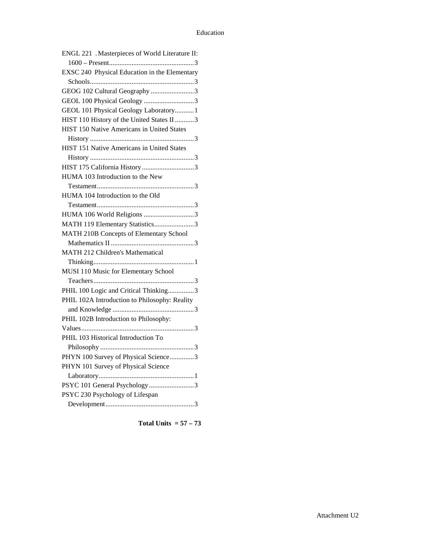| ENGL 221 . Masterpieces of World Literature II: |
|-------------------------------------------------|
|                                                 |
| EXSC 240 Physical Education in the Elementary   |
|                                                 |
| GEOG 102 Cultural Geography 3                   |
| GEOL 100 Physical Geology 3                     |
| GEOL 101 Physical Geology Laboratory 1          |
| HIST 110 History of the United States II 3      |
| HIST 150 Native Americans in United States      |
|                                                 |
| HIST 151 Native Americans in United States      |
|                                                 |
|                                                 |
| HUMA 103 Introduction to the New                |
|                                                 |
| HUMA 104 Introduction to the Old                |
|                                                 |
| HUMA 106 World Religions 3                      |
| MATH 119 Elementary Statistics3                 |
| MATH 210B Concepts of Elementary School         |
|                                                 |
| MATH 212 Children's Mathematical                |
|                                                 |
| MUSI 110 Music for Elementary School            |
|                                                 |
| PHIL 100 Logic and Critical Thinking3           |
| PHIL 102A Introduction to Philosophy: Reality   |
|                                                 |
| PHIL 102B Introduction to Philosophy:           |
|                                                 |
| PHIL 103 Historical Introduction To             |
|                                                 |
| PHYN 100 Survey of Physical Science3            |
| PHYN 101 Survey of Physical Science             |
|                                                 |
| PSYC 101 General Psychology3                    |
| PSYC 230 Psychology of Lifespan                 |
|                                                 |

**Total Units = 57 – 73**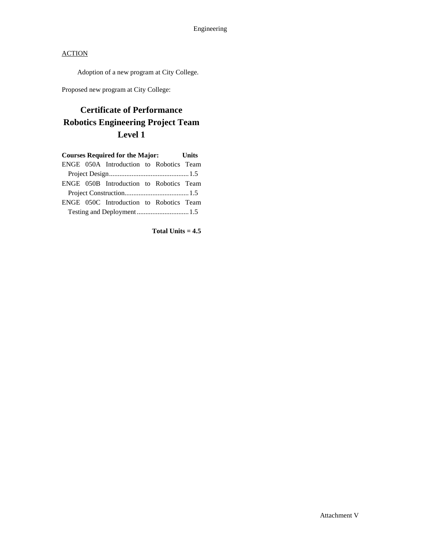Adoption of a new program at City College.

Proposed new program at City College:

## **Certificate of Performance Robotics Engineering Project Team Level 1**

|  | <b>Courses Required for the Major:</b>  |  | <b>Units</b> |
|--|-----------------------------------------|--|--------------|
|  | ENGE 050A Introduction to Robotics Team |  |              |
|  |                                         |  |              |
|  | ENGE 050B Introduction to Robotics Team |  |              |
|  |                                         |  |              |
|  | ENGE 050C Introduction to Robotics Team |  |              |
|  |                                         |  |              |

**Total Units = 4.5**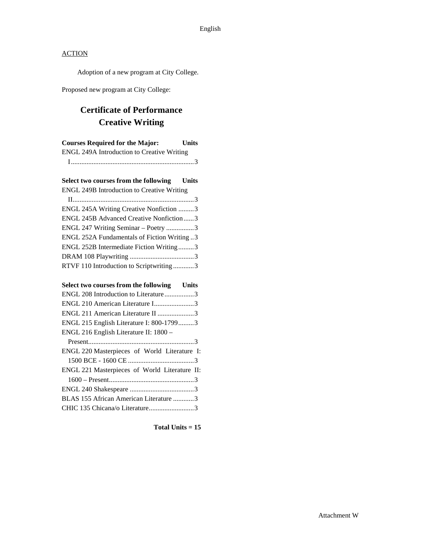Adoption of a new program at City College.

Proposed new program at City College:

## **Certificate of Performance Creative Writing**

| <b>Courses Required for the Major:</b>            | <b>Units</b> |
|---------------------------------------------------|--------------|
| <b>ENGL 249A Introduction to Creative Writing</b> |              |
|                                                   |              |
| Select two courses from the following Units       |              |
| <b>ENGL 249B Introduction to Creative Writing</b> |              |
|                                                   |              |
| ENGL 245A Writing Creative Nonfiction 3           |              |
| ENGL 245B Advanced Creative Nonfiction3           |              |
| ENGL 247 Writing Seminar - Poetry 3               |              |
| ENGL 252A Fundamentals of Fiction Writing 3       |              |
| ENGL 252B Intermediate Fiction Writing3           |              |
|                                                   |              |
| RTVF 110 Introduction to Scriptwriting3           |              |
| Select two courses from the following Units       |              |
| ENGL 208 Introduction to Literature3              |              |
| ENGL 210 American Literature I3                   |              |
| ENGL 211 American Literature II 3                 |              |
| ENGL 215 English Literature I: 800-17993          |              |
| ENGL 216 English Literature II: 1800 -            |              |
|                                                   |              |
| ENGL 220 Masterpieces of World Literature I:      |              |
|                                                   |              |
| ENGL 221 Masterpieces of World Literature II:     |              |
|                                                   |              |
|                                                   |              |
| BLAS 155 African American Literature 3            |              |
|                                                   |              |
|                                                   |              |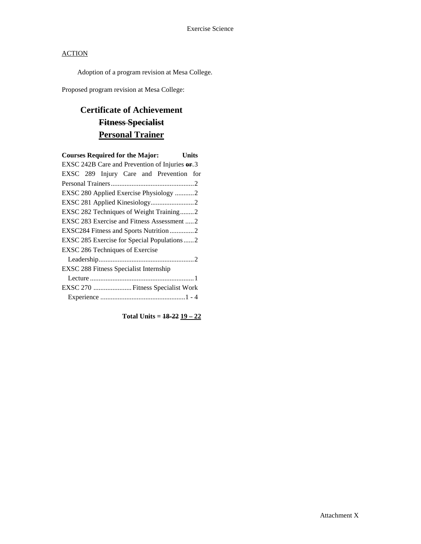Adoption of a program revision at Mesa College.

Proposed program revision at Mesa College:

## **Certificate of Achievement Fitness Specialist Personal Trainer**

| <b>Courses Required for the Major:</b><br>Units |  |
|-------------------------------------------------|--|
| EXSC 242B Care and Prevention of Injuries or 3  |  |
| EXSC 289 Injury Care and Prevention for         |  |
|                                                 |  |
| EXSC 280 Applied Exercise Physiology 2          |  |
|                                                 |  |
| EXSC 282 Techniques of Weight Training2         |  |
| EXSC 283 Exercise and Fitness Assessment  2     |  |
| EXSC284 Fitness and Sports Nutrition2           |  |
| EXSC 285 Exercise for Special Populations  2    |  |
| EXSC 286 Techniques of Exercise                 |  |
|                                                 |  |
| EXSC 288 Fitness Specialist Internship          |  |
|                                                 |  |
| EXSC 270  Fitness Specialist Work               |  |
|                                                 |  |

**Total Units = 18-22 19 – 22**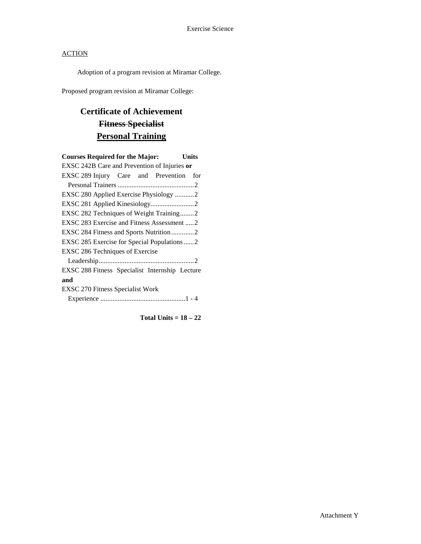Adoption of a program revision at Miramar College.

Proposed program revision at Miramar College:

## **Certificate of Achievement Fitness Specialist Personal Training**

| <b>Courses Required for the Major:</b><br>Units |
|-------------------------------------------------|
| EXSC 242B Care and Prevention of Injuries or    |
| EXSC 289 Injury Care and Prevention<br>for      |
|                                                 |
| EXSC 280 Applied Exercise Physiology 2          |
|                                                 |
| EXSC 282 Techniques of Weight Training2         |
| EXSC 283 Exercise and Fitness Assessment 2      |
|                                                 |
| EXSC 285 Exercise for Special Populations2      |
| EXSC 286 Techniques of Exercise                 |
|                                                 |
| EXSC 288 Fitness Specialist Internship Lecture  |
| and                                             |
| <b>EXSC 270 Fitness Specialist Work</b>         |
|                                                 |
|                                                 |

**Total Units = 18 – 22**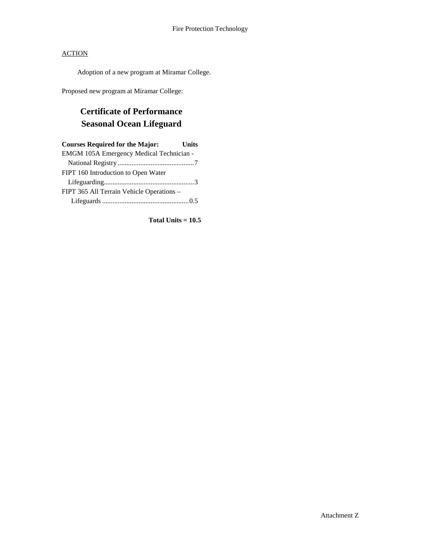Adoption of a new program at Miramar College.

Proposed new program at Miramar College:

## **Certificate of Performance Seasonal Ocean Lifeguard**

| <b>Courses Required for the Major:</b>    | Units |
|-------------------------------------------|-------|
| EMGM 105A Emergency Medical Technician -  |       |
|                                           |       |
| FIPT 160 Introduction to Open Water       |       |
|                                           |       |
| FIPT 365 All Terrain Vehicle Operations - |       |
|                                           |       |

**Total Units = 10.5**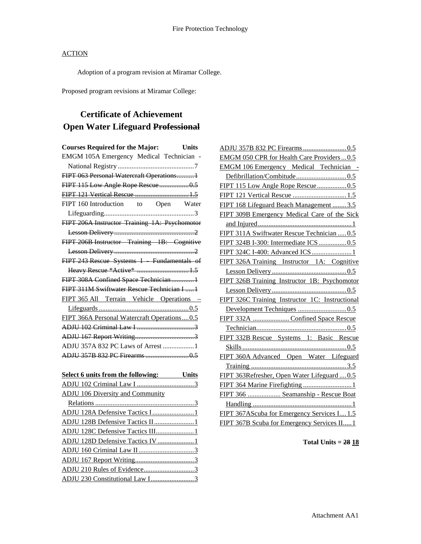Adoption of a program revision at Miramar College.

Proposed program revisions at Miramar College:

## **Certificate of Achievement Open Water Lifeguard Professional**

| <b>Courses Required for the Major:</b><br>Units |
|-------------------------------------------------|
| EMGM 105A Emergency Medical Technician          |
|                                                 |
| FIPT 063 Personal Watercraft Operations1        |
| FIPT 115 Low Angle Rope Rescue 0.5              |
| FIPT 121 Vertical Rescue  1.5                   |
| FIPT 160 Introduction to Open Water             |
|                                                 |
| FIPT 206A Instructor Training 1A: Psychomotor   |
|                                                 |
| FIPT 206B Instructor Training 1B: Cognitive     |
|                                                 |
| FIPT 243 Rescue Systems I Fundamentals of       |
| Heavy Rescue *Active*  1.5                      |
| FIPT 308A Confined Space Technician 1           |
| FIPT 311M Swiftwater Rescue Technician I 1      |
| FIPT 365 All Terrain Vehicle Operations -       |
|                                                 |
| FIPT 366A Personal Watercraft Operations0.5     |
|                                                 |
|                                                 |
| ADJU 357A 832 PC Laws of Arrest  1              |
|                                                 |
|                                                 |
| Select 6 units from the following: Units        |
|                                                 |
| <b>ADJU 106 Diversity and Community</b>         |
|                                                 |
| ADJU 128A Defensive Tactics I1                  |
| ADJU 128B Defensive Tactics II1                 |
| ADJU 128C Defensive Tactics III1                |
| ADJU 128D Defensive Tactics IV 1                |
|                                                 |
|                                                 |
|                                                 |

ADJU 230 Constitutional Law I.........................3

| EMGM 050 CPR for Health Care Providers0.5       |
|-------------------------------------------------|
| <b>EMGM 106 Emergency Medical Technician -</b>  |
|                                                 |
| FIPT 115 Low Angle Rope Rescue 0.5              |
| FIPT 121 Vertical Rescue  1.5                   |
| FIPT 168 Lifeguard Beach Management 3.5         |
| FIPT 309B Emergency Medical Care of the Sick    |
|                                                 |
| FIPT 311A Swiftwater Rescue Technician  0.5     |
| FIPT 324B I-300: Intermediate ICS  0.5          |
| FIPT 324C I-400: Advanced ICS  1                |
| FIPT 326A Training Instructor 1A: Cognitive     |
|                                                 |
| FIPT 326B Training Instructor 1B: Psychomotor   |
|                                                 |
| FIPT 326C Training Instructor 1C: Instructional |
|                                                 |
| FIPT 332A  Confined Space Rescue                |
|                                                 |
| FIPT 332B Rescue Systems 1: Basic Rescue        |
|                                                 |
| FIPT 360A Advanced Open Water Lifeguard         |
|                                                 |
| FIPT 363Refresher, Open Water Lifeguard  0.5    |
|                                                 |
| FIPT 366  Seamanship - Rescue Boat              |
|                                                 |
| FIPT 367AScuba for Emergency Services I 1.5     |
| FIPT 367B Scuba for Emergency Services II 1     |

**Total Units = 28 18**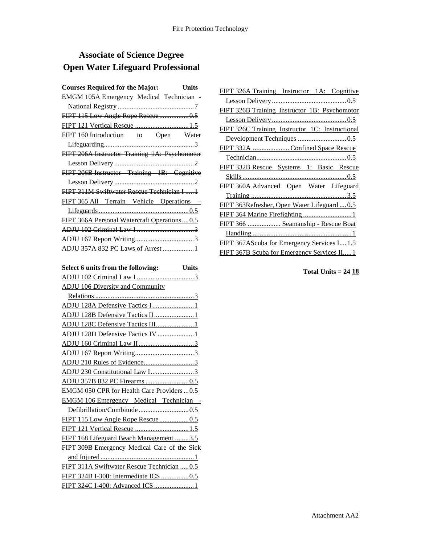## **Associate of Science Degree Open Water Lifeguard Professional**

| <b>Courses Required for the Major:</b><br><b>Units</b> |
|--------------------------------------------------------|
| EMGM 105A Emergency Medical Technician                 |
|                                                        |
| FIPT 115 Low Angle Rope Rescue 0.5                     |
| FIPT 121 Vertical Rescue  1.5                          |
| FIPT 160 Introduction to Open Water                    |
|                                                        |
| FIPT 206A Instructor Training 1A: Psychomotor          |
|                                                        |
| FIPT 206B Instructor Training 1B: Cognitive            |
|                                                        |
| FIPT 311M Swiftwater Rescue Technician I  1            |
| FIPT 365 All Terrain Vehicle Operations -              |
|                                                        |
| FIPT 366A Personal Watercraft Operations0.5            |
|                                                        |
|                                                        |
| ADJU 357A 832 PC Laws of Arrest  1                     |
|                                                        |
| Select 6 units from the following: Units               |
|                                                        |
| <b>ADJU 106 Diversity and Community</b>                |
|                                                        |
| ADJU 128A Defensive Tactics I1                         |
| ADJU 128B Defensive Tactics II1                        |
| ADJU 128C Defensive Tactics III1                       |
| ADJU 128D Defensive Tactics IV 1                       |
|                                                        |
|                                                        |
|                                                        |
|                                                        |
|                                                        |
| EMGM 050 CPR for Health Care Providers  0.5            |
| <b>EMGM 106 Emergency Medical Technician -</b>         |
|                                                        |
|                                                        |
| FIPT 121 Vertical Rescue  1.5                          |
| FIPT 168 Lifeguard Beach Management 3.5                |
| FIPT 309B Emergency Medical Care of the Sick           |
|                                                        |
| FIPT 311A Swiftwater Rescue Technician  0.5            |
| FIPT 324B I-300: Intermediate ICS 0.5                  |
|                                                        |

| FIPT 326A Training Instructor 1A: Cognitive          |
|------------------------------------------------------|
|                                                      |
| <b>FIPT 326B Training Instructor 1B: Psychomotor</b> |
|                                                      |
| FIPT 326C Training Instructor 1C: Instructional      |
|                                                      |
| FIPT 332A  Confined Space Rescue                     |
|                                                      |
| FIPT 332B Rescue Systems 1: Basic Rescue             |
|                                                      |
| FIPT 360A Advanced Open Water Lifeguard              |
|                                                      |
| FIPT 363Refresher, Open Water Lifeguard  0.5         |
|                                                      |
| FIPT 366  Seamanship - Rescue Boat                   |
|                                                      |
| FIPT 367AS cuba for Emergency Services I 1.5         |
| <b>FIPT 367B Scuba for Emergency Services II1</b>    |

**Total Units = 24 18**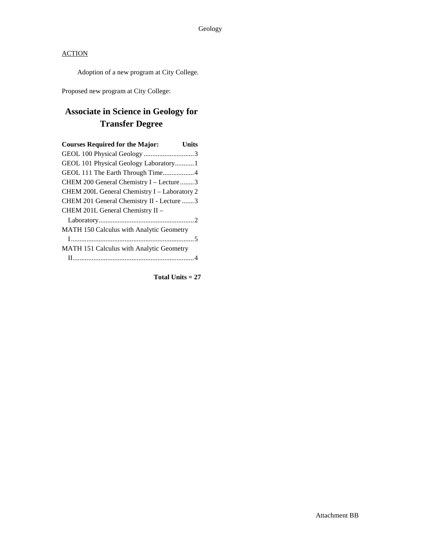Adoption of a new program at City College.

Proposed new program at City College:

## **Associate in Science in Geology for Transfer Degree**

| <b>Courses Required for the Major:</b>       | Units |
|----------------------------------------------|-------|
|                                              |       |
| GEOL 101 Physical Geology Laboratory 1       |       |
| GEOL 111 The Earth Through Time4             |       |
| CHEM 200 General Chemistry I – Lecture 3     |       |
| CHEM 200L General Chemistry I - Laboratory 2 |       |
| CHEM 201 General Chemistry II - Lecture 3    |       |
| CHEM 201L General Chemistry II -             |       |
|                                              |       |
| MATH 150 Calculus with Analytic Geometry     |       |
|                                              |       |
| MATH 151 Calculus with Analytic Geometry     |       |
|                                              |       |
|                                              |       |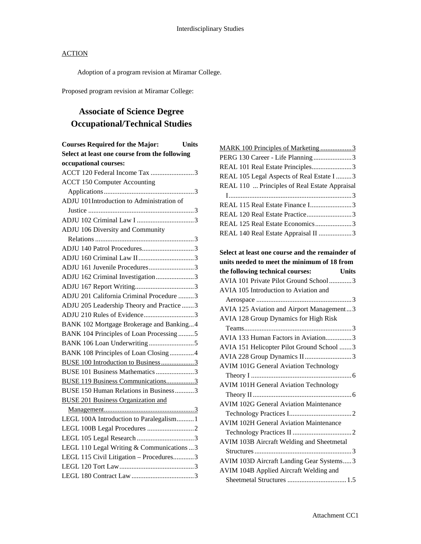Adoption of a program revision at Miramar College.

Proposed program revision at Miramar College:

## **Associate of Science Degree Occupational/Technical Studies**

| MARK 100 Principles of Marketing 3               |
|--------------------------------------------------|
| PERG 130 Career - Life Planning3                 |
| REAL 101 Real Estate Principles3                 |
| REAL 105 Legal Aspects of Real Estate I  3       |
| REAL 110  Principles of Real Estate Appraisal    |
|                                                  |
| REAL 115 Real Estate Finance I3                  |
| REAL 120 Real Estate Practice3                   |
| REAL 125 Real Estate Economics3                  |
| REAL 140 Real Estate Appraisal II 3              |
|                                                  |
| Select at least one course and the remainder of  |
| units needed to meet the minimum of 18 from      |
| the following technical courses:<br><b>Units</b> |
| AVIA 101 Private Pilot Ground School3            |
| AVIA 105 Introduction to Aviation and            |
|                                                  |
| AVIA 125 Aviation and Airport Management3        |
| AVIA 128 Group Dynamics for High Risk            |
|                                                  |
| AVIA 133 Human Factors in Aviation3              |
| AVIA 151 Helicopter Pilot Ground School 3        |
| AVIA 228 Group Dynamics II3                      |
| <b>AVIM 101G General Aviation Technology</b>     |
|                                                  |
| <b>AVIM 101H General Aviation Technology</b>     |
|                                                  |
| <b>AVIM 102G General Aviation Maintenance</b>    |
|                                                  |
| <b>AVIM 102H General Aviation Maintenance</b>    |
|                                                  |
| AVIM 103B Aircraft Welding and Sheetmetal        |
|                                                  |
| AVIM 103D Aircraft Landing Gear Systems3         |
| AVIM 104B Applied Aircraft Welding and           |
|                                                  |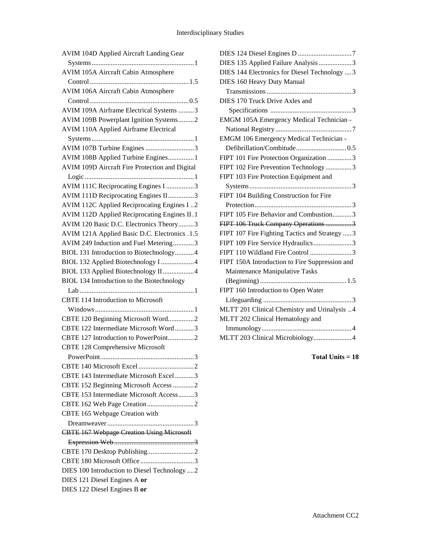| <b>AVIM 105A Aircraft Cabin Atmosphere</b>       |
|--------------------------------------------------|
|                                                  |
| AVIM 106A Aircraft Cabin Atmosphere              |
|                                                  |
| AVIM 109A Airframe Electrical Systems 3          |
| AVIM 109B Powerplant Ignition Systems2           |
| <b>AVIM 110A Applied Airframe Electrical</b>     |
|                                                  |
| AVIM 107B Turbine Engines 3                      |
| AVIM 108B Applied Turbine Engines 1              |
| AVIM 109D Aircraft Fire Protection and Digital   |
|                                                  |
| AVIM 111C Reciprocating Engines I 3              |
| AVIM 111D Reciprocating Engines II3              |
| AVIM 112C Applied Reciprocating Engines I2       |
| AVIM 112D Applied Reciprocating Engines II.1     |
| AVIM 120 Basic D.C. Electronics Theory3          |
| AVIM 121A Applied Basic D.C. Electronics .1.5    |
| AVIM 249 Induction and Fuel Metering3            |
| BIOL 131 Introduction to Biotechnology4          |
| BIOL 132 Applied Biotechnology I 4               |
| BIOL 133 Applied Biotechnology II4               |
| BIOL 134 Introduction to the Biotechnology       |
|                                                  |
| <b>CBTE 114 Introduction to Microsoft</b>        |
|                                                  |
|                                                  |
| CBTE 120 Beginning Microsoft Word2               |
| CBTE 122 Intermediate Microsoft Word3            |
| CBTE 127 Introduction to PowerPoint2             |
| <b>CBTE 128 Comprehensive Microsoft</b>          |
| 3<br>PowerPoint.                                 |
|                                                  |
| CBTE 143 Intermediate Microsoft Excel 3          |
| CBTE 152 Beginning Microsoft Access 2            |
| CBTE 153 Intermediate Microsoft Access3          |
|                                                  |
| CBTE 165 Webpage Creation with                   |
|                                                  |
| <b>CBTE 167 Webpage Creation Using Microsoft</b> |
|                                                  |
|                                                  |
| CBTE 180 Microsoft Office 3                      |
| DIES 100 Introduction to Diesel Technology 2     |
| DIES 121 Diesel Engines A or                     |

| DIES 135 Applied Failure Analysis 3            |
|------------------------------------------------|
| DIES 144 Electronics for Diesel Technology  3  |
| <b>DIES 160 Heavy Duty Manual</b>              |
|                                                |
| DIES 170 Truck Drive Axles and                 |
|                                                |
| EMGM 105A Emergency Medical Technician -       |
|                                                |
| EMGM 106 Emergency Medical Technician -        |
|                                                |
| FIPT 101 Fire Protection Organization 3        |
| FIPT 102 Fire Prevention Technology 3          |
| FIPT 103 Fire Protection Equipment and         |
|                                                |
| FIPT 104 Building Construction for Fire        |
|                                                |
| FIPT 105 Fire Behavior and Combustion3         |
| FIPT 106 Truck Company Operations 3            |
| FIPT 107 Fire Fighting Tactics and Strategy  3 |
| FIPT 109 Fire Service Hydraulics3              |
| FIPT 110 Wildland Fire Control 3               |
| FIPT 150A Introduction to Fire Suppression and |
| Maintenance Manipulative Tasks                 |
|                                                |
| FIPT 160 Introduction to Open Water            |
|                                                |
| MLTT 201 Clinical Chemistry and Urinalysis 4   |
| MLTT 202 Clinical Hematology and               |
|                                                |
| MLTT 203 Clinical Microbiology4                |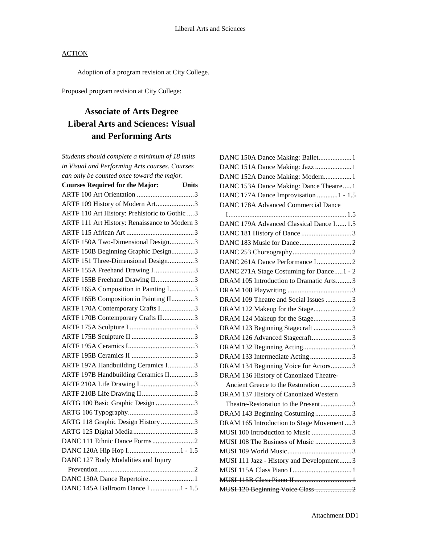Adoption of a program revision at City College.

Proposed program revision at City College:

## **Associate of Arts Degree Liberal Arts and Sciences: Visual and Performing Arts**

| Students should complete a minimum of 18 units |              |
|------------------------------------------------|--------------|
| in Visual and Performing Arts courses. Courses |              |
| can only be counted once toward the major.     |              |
| <b>Courses Required for the Major:</b>         | <b>Units</b> |
|                                                |              |
| ARTF 109 History of Modern Art3                |              |
| ARTF 110 Art History: Prehistoric to Gothic 3  |              |
| ARTF 111 Art History: Renaissance to Modern 3  |              |
|                                                |              |
| ARTF 150A Two-Dimensional Design3              |              |
| ARTF 150B Beginning Graphic Design3            |              |
| ARTF 151 Three-Dimensional Design3             |              |
| ARTF 155A Freehand Drawing I3                  |              |
| ARTF 155B Freehand Drawing II3                 |              |
| ARTF 165A Composition in Painting I3           |              |
| ARTF 165B Composition in Painting II3          |              |
| ARTF 170A Contemporary Crafts I3               |              |
| ARTF 170B Contemporary Crafts II3              |              |
|                                                |              |
|                                                |              |
|                                                |              |
|                                                |              |
| ARTF 197A Handbuilding Ceramics I3             |              |
| ARTF 197B Handbuilding Ceramics II3            |              |
|                                                |              |
| ARTF 210B Life Drawing II3                     |              |
| ARTG 100 Basic Graphic Design 3                |              |
|                                                |              |
| ARTG 118 Graphic Design History 3              |              |
|                                                |              |
|                                                |              |
|                                                |              |
| DANC 127 Body Modalities and Injury            |              |
|                                                |              |
| DANC 130A Dance Repertoire1                    |              |
| DANC 145A Ballroom Dance I 1 - 1.5             |              |
|                                                |              |

| DANC 150A Dance Making: Ballet 1           |  |
|--------------------------------------------|--|
| DANC 151A Dance Making: Jazz  1            |  |
| DANC 152A Dance Making: Modern1            |  |
| DANC 153A Dance Making: Dance Theatre1     |  |
| DANC 177A Dance Improvisation  1 - 1.5     |  |
| <b>DANC 178A Advanced Commercial Dance</b> |  |
|                                            |  |
| DANC 179A Advanced Classical Dance I 1.5   |  |
|                                            |  |
|                                            |  |
|                                            |  |
| DANC 261A Dance Performance I2             |  |
| DANC 271A Stage Costuming for Dance1 - 2   |  |
| DRAM 105 Introduction to Dramatic Arts3    |  |
|                                            |  |
| DRAM 109 Theatre and Social Issues 3       |  |
| DRAM 122 Makeup for the Stage2             |  |
| DRAM 124 Makeup for the Stage3             |  |
| DRAM 123 Beginning Stagecraft 3            |  |
| DRAM 126 Advanced Stagecraft3              |  |
| DRAM 132 Beginning Acting3                 |  |
| DRAM 133 Intermediate Acting 3             |  |
| DRAM 134 Beginning Voice for Actors3       |  |
| DRAM 136 History of Canonized Theatre-     |  |
| Ancient Greece to the Restoration 3        |  |
| DRAM 137 History of Canonized Western      |  |
| Theatre-Restoration to the Present3        |  |
| DRAM 143 Beginning Costuming3              |  |
| DRAM 165 Introduction to Stage Movement  3 |  |
| MUSI 100 Introduction to Music 3           |  |
| MUSI 108 The Business of Music 3           |  |
|                                            |  |
| MUSI 111 Jazz - History and Development3   |  |
|                                            |  |
|                                            |  |
|                                            |  |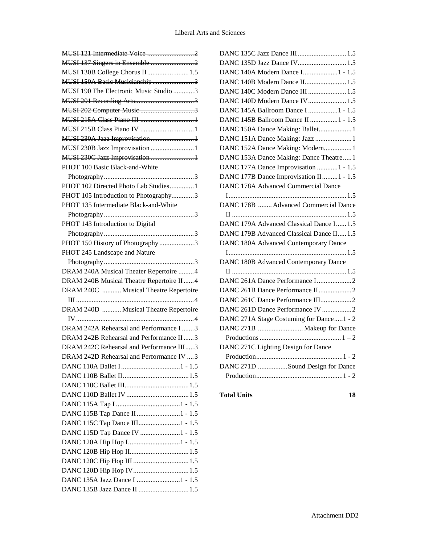| MUSI 130B College Chorus II 1.5                                |
|----------------------------------------------------------------|
| MUSI 150A Basic Musicianship3                                  |
| MUSI 190 The Electronic Music Studio 3                         |
|                                                                |
|                                                                |
|                                                                |
|                                                                |
| MUSI 230A Jazz Improvisation1                                  |
| MUSI 230B Jazz Improvisation 1                                 |
| MUSI 230C Jazz Improvisation  1                                |
| PHOT 100 Basic Black-and-White                                 |
|                                                                |
| PHOT 102 Directed Photo Lab Studies1                           |
| PHOT 105 Introduction to Photography3                          |
| PHOT 135 Intermediate Black-and-White                          |
|                                                                |
| PHOT 143 Introduction to Digital                               |
|                                                                |
| PHOT 150 History of Photography 3                              |
| PHOT 245 Landscape and Nature                                  |
|                                                                |
| DRAM 240A Musical Theater Repertoire 4                         |
| DRAM 240B Musical Theatre Repertoire II4                       |
| DRAM 240C  Musical Theatre Repertoire                          |
|                                                                |
| DRAM 240D  Musical Theatre Repertoire                          |
|                                                                |
|                                                                |
| DRAM 242A Rehearsal and Performance I3                         |
| DRAM 242B Rehearsal and Performance II3                        |
| DRAM 242C Rehearsal and Performance III3                       |
| DRAM 242D Rehearsal and Performance IV  3                      |
|                                                                |
|                                                                |
|                                                                |
|                                                                |
|                                                                |
|                                                                |
|                                                                |
| DANC 115D Tap Dance IV 1 - 1.5                                 |
|                                                                |
|                                                                |
|                                                                |
| DANC 120D Hip Hop IV1.5                                        |
| DANC 135A Jazz Dance I 1 - 1.5<br>DANC 135B Jazz Dance II  1.5 |

| DANC 135C Jazz Dance III 1.5              |
|-------------------------------------------|
|                                           |
| DANC 140A Modern Dance I1 - 1.5           |
| DANC 140B Modern Dance II 1.5             |
| DANC 140C Modern Dance III  1.5           |
| DANC 140D Modern Dance IV 1.5             |
| DANC 145A Ballroom Dance I 1 - 1.5        |
| DANC 145B Ballroom Dance II 1 - 1.5       |
| DANC 150A Dance Making: Ballet 1          |
| DANC 151A Dance Making: Jazz  1           |
| DANC 152A Dance Making: Modern1           |
| DANC 153A Dance Making: Dance Theatre1    |
| DANC 177A Dance Improvisation  1 - 1.5    |
| DANC 177B Dance Improvisation II 1 - 1.5  |
| DANC 178A Advanced Commercial Dance       |
|                                           |
| DANC 178B  Advanced Commercial Dance      |
|                                           |
| DANC 179A Advanced Classical Dance I 1.5  |
| DANC 179B Advanced Classical Dance II 1.5 |
| DANC 180A Advanced Contemporary Dance     |
|                                           |
| DANC 180B Advanced Contemporary Dance     |
|                                           |
|                                           |
|                                           |
| DANC 261C Dance Performance III2          |
| DANC 261D Dance Performance IV 2          |
| DANC 271A Stage Costuming for Dance1 - 2  |
| DANC 271B  Makeup for Dance               |
|                                           |
| DANC 271C Lighting Design for Dance       |
|                                           |
| DANC 271D Sound Design for Dance          |
|                                           |
|                                           |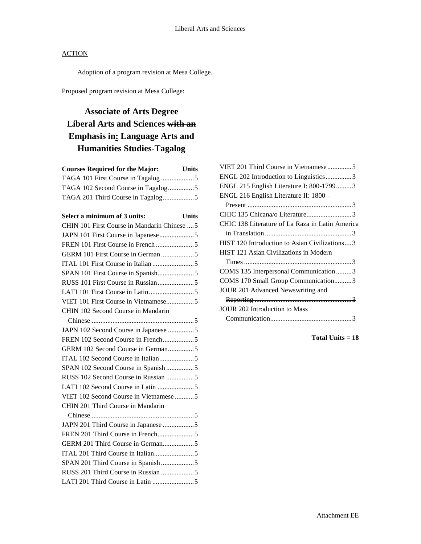Adoption of a program revision at Mesa College.

Proposed program revision at Mesa College:

## **Associate of Arts Degree Liberal Arts and Sciences with an Emphasis in: Language Arts and Humanities Studies-Tagalog**

| <b>Courses Required for the Major:</b> | Units |
|----------------------------------------|-------|
|                                        |       |
| TAGA 102 Second Course in Tagalog5     |       |
|                                        |       |

| Select a minimum of 3 units:<br><b>Units</b> |
|----------------------------------------------|
| CHIN 101 First Course in Mandarin Chinese  5 |
|                                              |
|                                              |
|                                              |
|                                              |
|                                              |
|                                              |
|                                              |
| VIET 101 First Course in Vietnamese5         |
| CHIN 102 Second Course in Mandarin           |
|                                              |
| JAPN 102 Second Course in Japanese 5         |
|                                              |
|                                              |
|                                              |
| SPAN 102 Second Course in Spanish5           |
| RUSS 102 Second Course in Russian 5          |
|                                              |
| VIET 102 Second Course in Vietnamese 5       |
| CHIN 201 Third Course in Mandarin            |
|                                              |
| JAPN 201 Third Course in Japanese 5          |
|                                              |
| GERM 201 Third Course in German5             |
|                                              |
| SPAN 201 Third Course in Spanish5            |
| RUSS 201 Third Course in Russian 5           |
|                                              |

| VIET 201 Third Course in Vietnamese5            |
|-------------------------------------------------|
| ENGL 202 Introduction to Linguistics3           |
| ENGL 215 English Literature I: 800-17993        |
| ENGL 216 English Literature II: 1800 -          |
|                                                 |
| CHIC 135 Chicana/o Literature3                  |
| CHIC 138 Literature of La Raza in Latin America |
|                                                 |
| HIST 120 Introduction to Asian Civilizations3   |
| HIST 121 Asian Civilizations in Modern          |
|                                                 |
| COMS 135 Interpersonal Communication3           |
| COMS 170 Small Group Communication3             |
| JOUR 201 Advanced Newswriting and               |
|                                                 |
| JOUR 202 Introduction to Mass                   |
|                                                 |
|                                                 |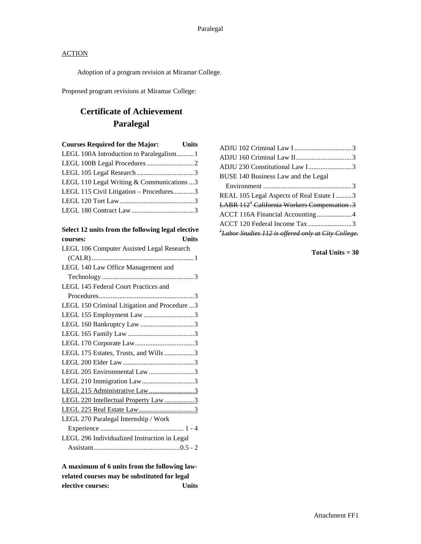Adoption of a program revision at Miramar College.

Proposed program revisions at Miramar College:

## **Certificate of Achievement Paralegal**

| <b>Courses Required for the Major:</b> Units |  |
|----------------------------------------------|--|
|                                              |  |
|                                              |  |
|                                              |  |
| LEGL 110 Legal Writing & Communications  3   |  |
| LEGL 115 Civil Litigation – Procedures3      |  |
|                                              |  |
|                                              |  |
|                                              |  |

| Select 12 units from the following legal elective |  |
|---------------------------------------------------|--|
| Units<br>courses:                                 |  |
| LEGL 106 Computer Assisted Legal Research         |  |
|                                                   |  |
| LEGL 140 Law Office Management and                |  |
|                                                   |  |
| <b>LEGL 145 Federal Court Practices and</b>       |  |
|                                                   |  |
| LEGL 150 Criminal Litigation and Procedure3       |  |
| LEGL 155 Employment Law 3                         |  |
|                                                   |  |
|                                                   |  |
|                                                   |  |
| LEGL 175 Estates, Trusts, and Wills 3             |  |
|                                                   |  |
| LEGL 205 Environmental Law 3                      |  |
|                                                   |  |
| LEGL 215 Administrative Law3                      |  |
| LEGL 220 Intellectual Property Law 3              |  |
|                                                   |  |
| LEGL 270 Paralegal Internship / Work              |  |
|                                                   |  |
| LEGL 296 Individualized Instruction in Legal      |  |
|                                                   |  |
|                                                   |  |

**A maximum of 6 units from the following lawrelated courses may be substituted for legal elective courses: Units**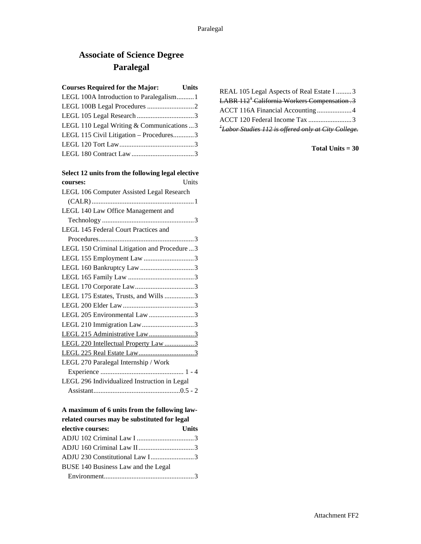## **Associate of Science Degree Paralegal**

| <b>Courses Required for the Major:</b>     | <b>Units</b> |
|--------------------------------------------|--------------|
| LEGL 100A Introduction to Paralegalism1    |              |
|                                            |              |
|                                            |              |
| LEGL 110 Legal Writing & Communications  3 |              |
| LEGL 115 Civil Litigation - Procedures3    |              |
|                                            |              |

### **Select 12 units from the following legal elective**

LEGL 180 Contract Law....................................3

| Units<br>courses:                            |
|----------------------------------------------|
| LEGL 106 Computer Assisted Legal Research    |
|                                              |
| LEGL 140 Law Office Management and           |
|                                              |
| LEGL 145 Federal Court Practices and         |
|                                              |
| LEGL 150 Criminal Litigation and Procedure3  |
| LEGL 155 Employment Law 3                    |
| LEGL 160 Bankruptcy Law 3                    |
|                                              |
|                                              |
| LEGL 175 Estates, Trusts, and Wills 3        |
|                                              |
| LEGL 205 Environmental Law 3                 |
| LEGL 210 Immigration Law3                    |
| LEGL 215 Administrative Law3                 |
| LEGL 220 Intellectual Property Law 3         |
|                                              |
| LEGL 270 Paralegal Internship / Work         |
|                                              |
| LEGL 296 Individualized Instruction in Legal |
|                                              |

## **A maximum of 6 units from the following law-**

| related courses may be substituted for legal |              |
|----------------------------------------------|--------------|
| elective courses:                            | <b>Units</b> |
|                                              |              |
|                                              |              |
| ADJU 230 Constitutional Law I3               |              |
| BUSE 140 Business Law and the Legal          |              |
|                                              |              |

| REAL 105 Legal Aspects of Real Estate I 3                       |  |
|-----------------------------------------------------------------|--|
| LABR 112 <sup>+</sup> California Workers Compensation .3        |  |
|                                                                 |  |
| ACCT 120 Federal Income Tax 3                                   |  |
| <sup>1</sup> Labor Studies 112 is offered only at City College. |  |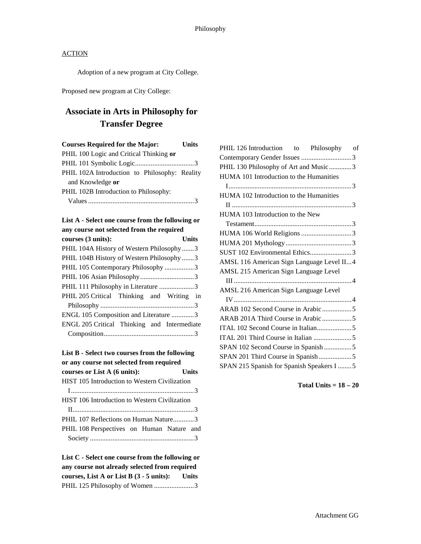Adoption of a new program at City College.

Proposed new program at City College:

## **Associate in Arts in Philosophy for Transfer Degree**

| <b>Courses Required for the Major:</b>        | Units |
|-----------------------------------------------|-------|
| PHIL 100 Logic and Critical Thinking or       |       |
|                                               |       |
| PHIL 102A Introduction to Philosophy: Reality |       |
| and Knowledge or                              |       |
| PHIL 102B Introduction to Philosophy:         |       |
|                                               |       |
|                                               |       |

### **List A - Select one course from the following or any course not selected from the required**

| courses (3 units):                          | Units |
|---------------------------------------------|-------|
| PHIL 104A History of Western Philosophy3    |       |
| PHIL 104B History of Western Philosophy 3   |       |
| PHIL 105 Contemporary Philosophy 3          |       |
|                                             |       |
| PHIL 111 Philosophy in Literature 3         |       |
| PHIL 205 Critical Thinking and Writing in   |       |
|                                             |       |
| ENGL 105 Composition and Literature 3       |       |
| ENGL 205 Critical Thinking and Intermediate |       |
|                                             |       |
|                                             |       |

#### **List B - Select two courses from the following**  or any course not selected from required<br> **courses** or List A (6 units): Linits  $\frac{1}{2}$  courses or List  $\Lambda$  (6 units):

| Courses of List A (0 units).                         |  |
|------------------------------------------------------|--|
| HIST 105 Introduction to Western Civilization        |  |
|                                                      |  |
| <b>HIST 106 Introduction to Western Civilization</b> |  |
|                                                      |  |
| PHIL 107 Reflections on Human Nature3                |  |
| PHIL 108 Perspectives on Human Nature and            |  |
|                                                      |  |

**List C - Select one course from the following or any course not already selected from required courses, List A or List B (3 - 5 units): Units** PHIL 125 Philosophy of Women ........................3

| PHIL 126 Introduction to Philosophy of    |  |
|-------------------------------------------|--|
|                                           |  |
| PHIL 130 Philosophy of Art and Music3     |  |
| HUMA 101 Introduction to the Humanities   |  |
|                                           |  |
| HUMA 102 Introduction to the Humanities   |  |
|                                           |  |
| HUMA 103 Introduction to the New          |  |
|                                           |  |
| HUMA 106 World Religions 3                |  |
|                                           |  |
| SUST 102 Environmental Ethics3            |  |
| AMSL 116 American Sign Language Level II4 |  |
| AMSL 215 American Sign Language Level     |  |
|                                           |  |
| AMSL 216 American Sign Language Level     |  |
|                                           |  |
| ARAB 102 Second Course in Arabic 5        |  |
| ARAB 201A Third Course in Arabic 5        |  |
|                                           |  |
|                                           |  |
| SPAN 102 Second Course in Spanish5        |  |
|                                           |  |
| SPAN 215 Spanish for Spanish Speakers I 5 |  |

**Total Units = 18 – 20**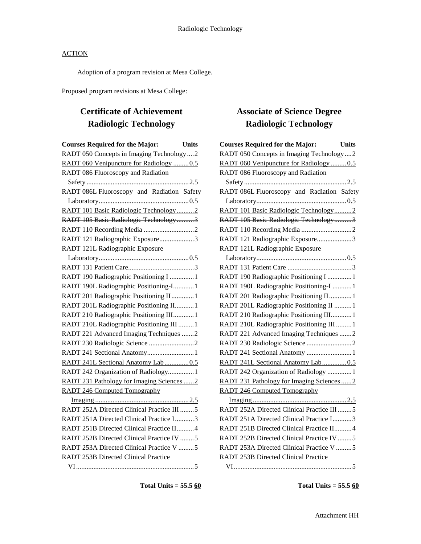Adoption of a program revision at Mesa College.

Proposed program revisions at Mesa College:

## **Certificate of Achievement Radiologic Technology**

| <b>Courses Required for the Major:</b><br><b>Units</b> |  |
|--------------------------------------------------------|--|
| RADT 050 Concepts in Imaging Technology  2             |  |
| RADT 060 Venipuncture for Radiology 0.5                |  |
| RADT 086 Fluoroscopy and Radiation                     |  |
|                                                        |  |
| RADT 086L Fluoroscopy and Radiation Safety             |  |
|                                                        |  |
| RADT 101 Basic Radiologic Technology2                  |  |
| RADT 105 Basic Radiologic Technology3                  |  |
|                                                        |  |
| RADT 121 Radiographic Exposure3                        |  |
| RADT 121L Radiographic Exposure                        |  |
|                                                        |  |
|                                                        |  |
| RADT 190 Radiographic Positioning I  1                 |  |
| RADT 190L Radiographic Positioning-I1                  |  |
| RADT 201 Radiographic Positioning II  1                |  |
| RADT 201L Radiographic Positioning II 1                |  |
| RADT 210 Radiographic Positioning III 1                |  |
| RADT 210L Radiographic Positioning III  1              |  |
| RADT 221 Advanced Imaging Techniques 2                 |  |
|                                                        |  |
| RADT 241 Sectional Anatomy1                            |  |
| RADT 241L Sectional Anatomy Lab0.5                     |  |
| RADT 242 Organization of Radiology 1                   |  |
| RADT 231 Pathology for Imaging Sciences  2             |  |
| <b>RADT 246 Computed Tomography</b>                    |  |
|                                                        |  |
| RADT 252A Directed Clinical Practice III 5             |  |
| RADT 251A Directed Clinical Practice I3                |  |
| RADT 251B Directed Clinical Practice II4               |  |
| RADT 252B Directed Clinical Practice IV 5              |  |
| RADT 253A Directed Clinical Practice V 5               |  |
| <b>RADT 253B Directed Clinical Practice</b>            |  |
|                                                        |  |

## **Associate of Science Degree Radiologic Technology**

| <b>Courses Required for the Major:</b>      | <b>Units</b> |
|---------------------------------------------|--------------|
| RADT 050 Concepts in Imaging Technology2    |              |
| RADT 060 Venipuncture for Radiology 0.5     |              |
| RADT 086 Fluoroscopy and Radiation          |              |
|                                             |              |
| RADT 086L Fluoroscopy and Radiation Safety  |              |
|                                             |              |
| RADT 101 Basic Radiologic Technology2       |              |
| RADT 105 Basic Radiologic Technology3       |              |
|                                             |              |
| RADT 121 Radiographic Exposure3             |              |
| RADT 121L Radiographic Exposure             |              |
|                                             |              |
|                                             |              |
| RADT 190 Radiographic Positioning I  1      |              |
| RADT 190L Radiographic Positioning-I  1     |              |
| RADT 201 Radiographic Positioning II 1      |              |
| RADT 201L Radiographic Positioning II  1    |              |
| RADT 210 Radiographic Positioning III 1     |              |
| RADT 210L Radiographic Positioning III  1   |              |
| RADT 221 Advanced Imaging Techniques 2      |              |
|                                             |              |
| RADT 241 Sectional Anatomy  1               |              |
| RADT 241L Sectional Anatomy Lab0.5          |              |
| RADT 242 Organization of Radiology  1       |              |
| RADT 231 Pathology for Imaging Sciences  2  |              |
| <b>RADT 246 Computed Tomography</b>         |              |
|                                             |              |
| RADT 252A Directed Clinical Practice III 5  |              |
| RADT 251A Directed Clinical Practice I3     |              |
| RADT 251B Directed Clinical Practice II 4   |              |
| RADT 252B Directed Clinical Practice IV 5   |              |
| RADT 253A Directed Clinical Practice V 5    |              |
| <b>RADT 253B Directed Clinical Practice</b> |              |
|                                             |              |

**Total Units = 55.5 60**

**Total Units = 55.5 60**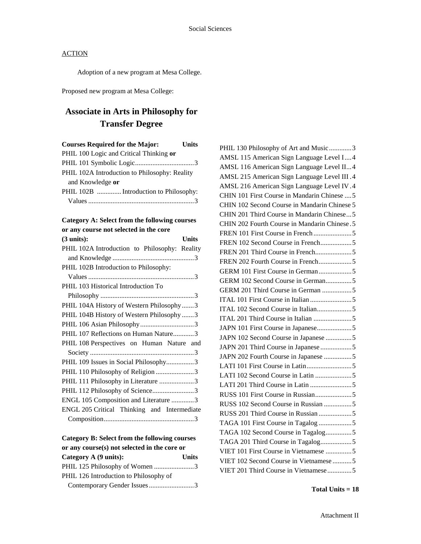Adoption of a new program at Mesa College.

Proposed new program at Mesa College:

## **Associate in Arts in Philosophy for Transfer Degree**

| <b>Courses Required for the Major:</b>        | <b>Units</b> |
|-----------------------------------------------|--------------|
| PHIL 100 Logic and Critical Thinking or       |              |
|                                               |              |
| PHIL 102A Introduction to Philosophy: Reality |              |
| and Knowledge or                              |              |
| PHIL 102B  Introduction to Philosophy:        |              |
|                                               |              |

#### **Category A: Select from the following courses or any course not selected in the core**

#### **Category B: Select from the following courses or any course(s) not selected in the core or**

| Category A (9 units):                  | <b>Units</b> |
|----------------------------------------|--------------|
| PHIL 125 Philosophy of Women 3         |              |
| PHIL 126 Introduction to Philosophy of |              |
| Contemporary Gender Issues3            |              |

PHIL 130 Philosophy of Art and Music..............3 AMSL 115 American Sign Language Level I....4 AMSL 116 American Sign Language Level II...4 AMSL 215 American Sign Language Level III .4 AMSL 216 American Sign Language Level IV.4 CHIN 101 First Course in Mandarin Chinese ....5 CHIN 102 Second Course in Mandarin Chinese 5 CHIN 201 Third Course in Mandarin Chinese...5 CHIN 202 Fourth Course in Mandarin Chinese .5 FREN 101 First Course in French ......................5 FREN 102 Second Course in French..................5 FREN 201 Third Course in French.....................5 FREN 202 Fourth Course in French...................5 GERM 101 First Course in German...................5 GERM 102 Second Course in German...............5 GERM 201 Third Course in German .................5 ITAL 101 First Course in Italian ........................5 ITAL 102 Second Course in Italian....................5 ITAL 201 Third Course in Italian ......................5 JAPN 101 First Course in Japanese....................5 JAPN 102 Second Course in Japanese ...............5 JAPN 201 Third Course in Japanese ..................5 JAPN 202 Fourth Course in Japanese ................5 LATI 101 First Course in Latin..........................5 LATI 102 Second Course in Latin .....................5 LATI 201 Third Course in Latin ........................5 RUSS 101 First Course in Russian.....................5 RUSS 102 Second Course in Russian ................5 RUSS 201 Third Course in Russian ...................5 TAGA 101 First Course in Tagalog ...................5 TAGA 102 Second Course in Tagalog...............5 TAGA 201 Third Course in Tagalog..................5 VIET 101 First Course in Vietnamese ...............5 VIET 102 Second Course in Vietnamese ...........5 VIET 201 Third Course in Vietnamese..............5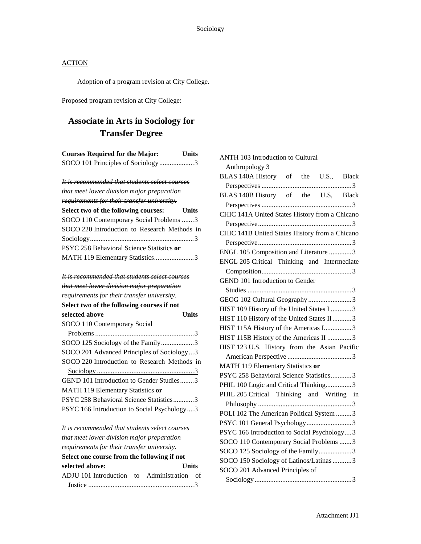Adoption of a program revision at City College.

Proposed program revision at City College:

## **Associate in Arts in Sociology for Transfer Degree**

**Courses Required for the Major: Units**

| SOCO 101 Principles of Sociology3                         |  |
|-----------------------------------------------------------|--|
| <u>It is recommended that students select courses</u>     |  |
| that meet lower division major preparation                |  |
| requirements for their transfer university.               |  |
| Select two of the following courses: Units                |  |
| SOCO 110 Contemporary Social Problems 3                   |  |
| SOCO 220 Introduction to Research Methods in              |  |
|                                                           |  |
| PSYC 258 Behavioral Science Statistics or                 |  |
| MATH 119 Elementary Statistics3                           |  |
| <del>It is recommended that students select courses</del> |  |
| that meet lower division major preparation                |  |
| requirements for their transfer university.               |  |
| Select two of the following courses if not                |  |
| Units<br>selected above                                   |  |

| SOCO 110 Contemporary Social                 |
|----------------------------------------------|
|                                              |
| SOCO 125 Sociology of the Family3            |
| SOCO 201 Advanced Principles of Sociology3   |
| SOCO 220 Introduction to Research Methods in |
|                                              |
|                                              |
| GEND 101 Introduction to Gender Studies3     |
| MATH 119 Elementary Statistics or            |
| PSYC 258 Behavioral Science Statistics3      |

*It is recommended that students select courses that meet lower division major preparation requirements for their transfer university.* **Select one course from the following if not selected above: Units** ADJU 101 Introduction to Administration of Justice .............................................................3

| <b>ANTH 103 Introduction to Cultural</b>       |  |
|------------------------------------------------|--|
| Anthropology 3                                 |  |
| BLAS 140A History of the U.S., Black           |  |
|                                                |  |
| BLAS 140B History of the U.S, Black            |  |
|                                                |  |
| CHIC 141A United States History from a Chicano |  |
|                                                |  |
| CHIC 141B United States History from a Chicano |  |
|                                                |  |
| ENGL 105 Composition and Literature 3          |  |
| ENGL 205 Critical Thinking and Intermediate    |  |
|                                                |  |
| <b>GEND 101 Introduction to Gender</b>         |  |
|                                                |  |
| GEOG 102 Cultural Geography 3                  |  |
| HIST 109 History of the United States I 3      |  |
| HIST 110 History of the United States II 3     |  |
| HIST 115A History of the Americas I3           |  |
| HIST 115B History of the Americas II 3         |  |
| HIST 123 U.S. History from the Asian Pacific   |  |
|                                                |  |
| MATH 119 Elementary Statistics or              |  |
| PSYC 258 Behavioral Science Statistics3        |  |
| PHIL 100 Logic and Critical Thinking3          |  |
| PHIL 205 Critical Thinking and Writing in      |  |
|                                                |  |
| POLI 102 The American Political System  3      |  |
| PSYC 101 General Psychology3                   |  |
| PSYC 166 Introduction to Social Psychology3    |  |
| SOCO 110 Contemporary Social Problems  3       |  |
| SOCO 125 Sociology of the Family3              |  |
| SOCO 150 Sociology of Latinos/Latinas  3       |  |
| SOCO 201 Advanced Principles of                |  |
|                                                |  |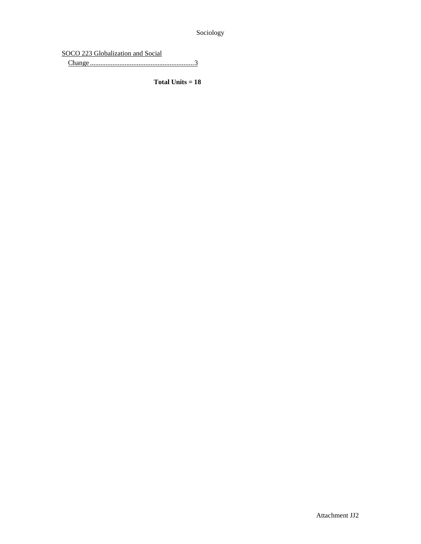Sociology

SOCO 223 Globalization and Social

Change ............................................................3